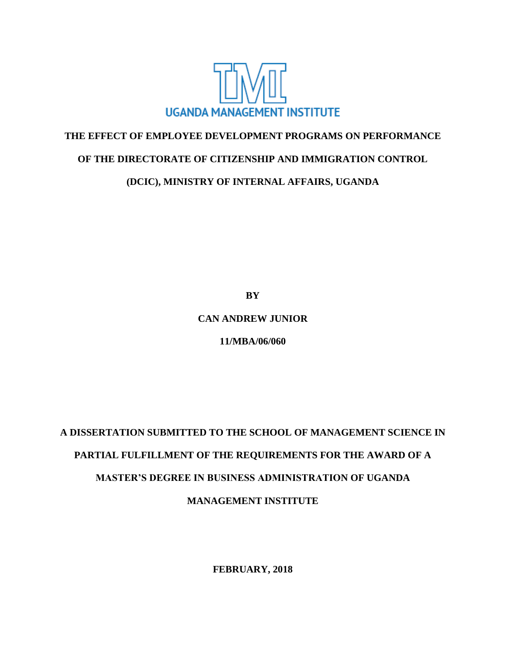

# **THE EFFECT OF EMPLOYEE DEVELOPMENT PROGRAMS ON PERFORMANCE**

## **OF THE DIRECTORATE OF CITIZENSHIP AND IMMIGRATION CONTROL**

**(DCIC), MINISTRY OF INTERNAL AFFAIRS, UGANDA**

**BY**

### **CAN ANDREW JUNIOR**

**11/MBA/06/060**

# **A DISSERTATION SUBMITTED TO THE SCHOOL OF MANAGEMENT SCIENCE IN PARTIAL FULFILLMENT OF THE REQUIREMENTS FOR THE AWARD OF A MASTER'S DEGREE IN BUSINESS ADMINISTRATION OF UGANDA MANAGEMENT INSTITUTE**

**FEBRUARY, 2018**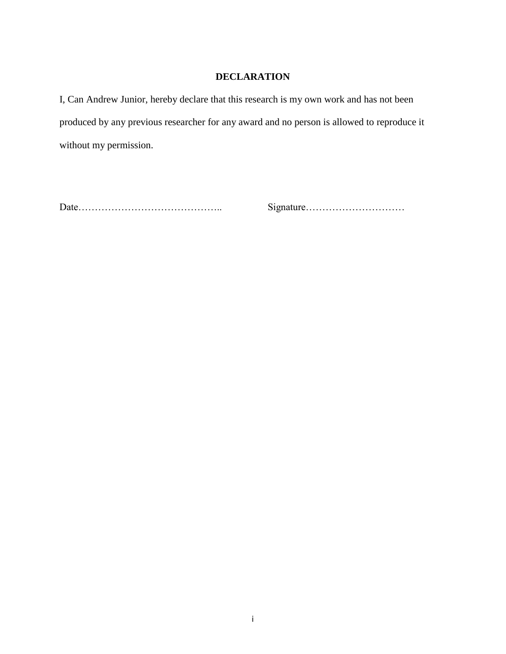# **DECLARATION**

<span id="page-1-0"></span>I, Can Andrew Junior, hereby declare that this research is my own work and has not been produced by any previous researcher for any award and no person is allowed to reproduce it without my permission.

Date…………………………………….. Signature…………………………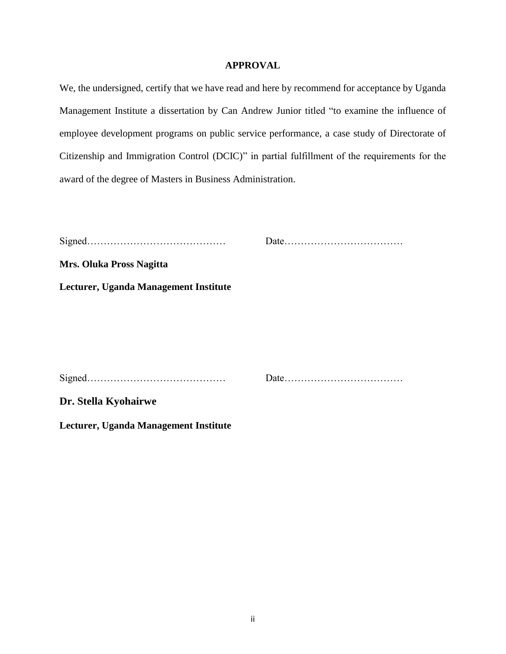#### **APPROVAL**

<span id="page-2-0"></span>We, the undersigned, certify that we have read and here by recommend for acceptance by Uganda Management Institute a dissertation by Can Andrew Junior titled "to examine the influence of employee development programs on public service performance, a case study of Directorate of Citizenship and Immigration Control (DCIC)" in partial fulfillment of the requirements for the award of the degree of Masters in Business Administration.

| <b>Mrs. Oluka Pross Nagitta</b>       |  |
|---------------------------------------|--|
| Lecturer, Uganda Management Institute |  |
|                                       |  |
|                                       |  |
|                                       |  |
|                                       |  |
| Dr. Stella Kyohairwe                  |  |
| Lecturer, Uganda Management Institute |  |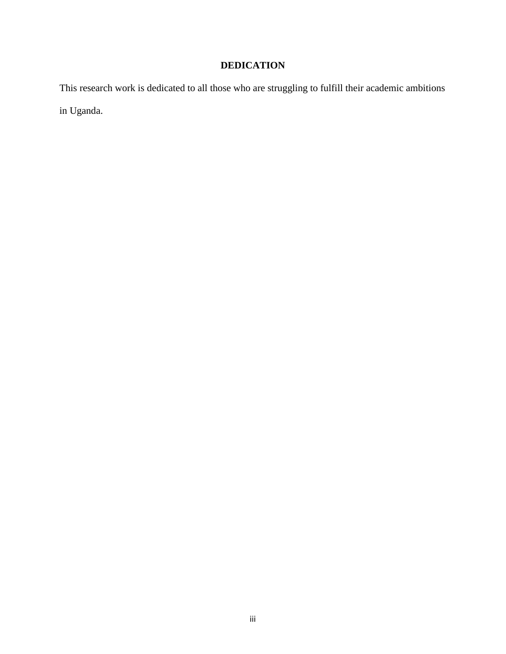# **DEDICATION**

<span id="page-3-0"></span>This research work is dedicated to all those who are struggling to fulfill their academic ambitions in Uganda.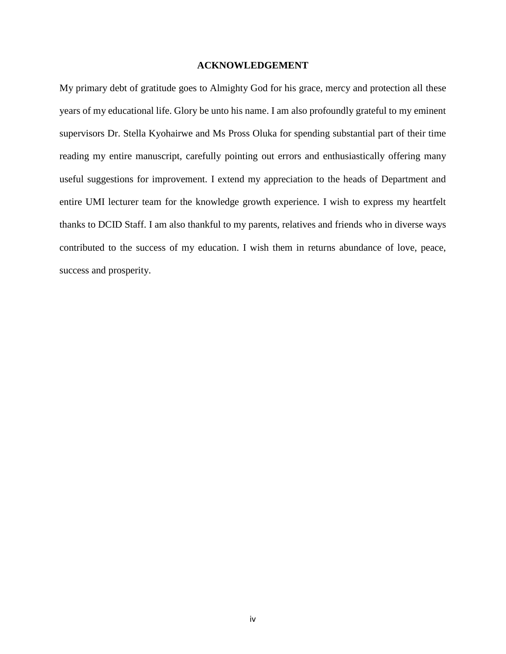#### **ACKNOWLEDGEMENT**

<span id="page-4-0"></span>My primary debt of gratitude goes to Almighty God for his grace, mercy and protection all these years of my educational life. Glory be unto his name. I am also profoundly grateful to my eminent supervisors Dr. Stella Kyohairwe and Ms Pross Oluka for spending substantial part of their time reading my entire manuscript, carefully pointing out errors and enthusiastically offering many useful suggestions for improvement. I extend my appreciation to the heads of Department and entire UMI lecturer team for the knowledge growth experience. I wish to express my heartfelt thanks to DCID Staff. I am also thankful to my parents, relatives and friends who in diverse ways contributed to the success of my education. I wish them in returns abundance of love, peace, success and prosperity.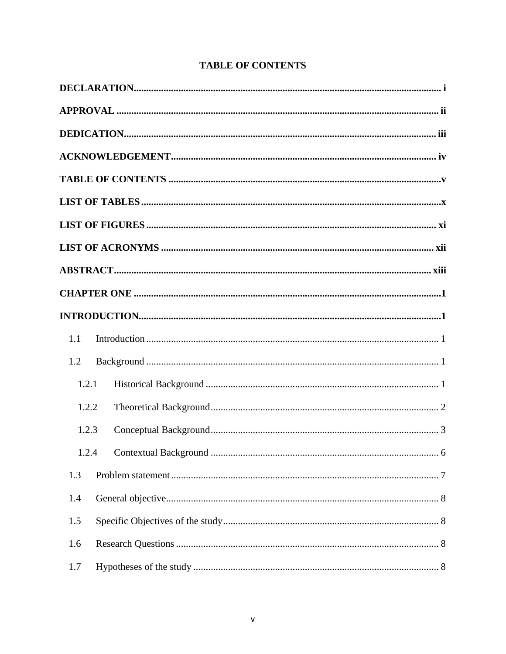| <b>TABLE OF CONTENTS</b> |  |
|--------------------------|--|
|--------------------------|--|

<span id="page-5-0"></span>

| 1.1   |
|-------|
| 1.2   |
| 1.2.1 |
| 1.2.2 |
| 1.2.3 |
|       |
| 1.3   |
| 1.4   |
| 1.5   |
| 1.6   |
| 1.7   |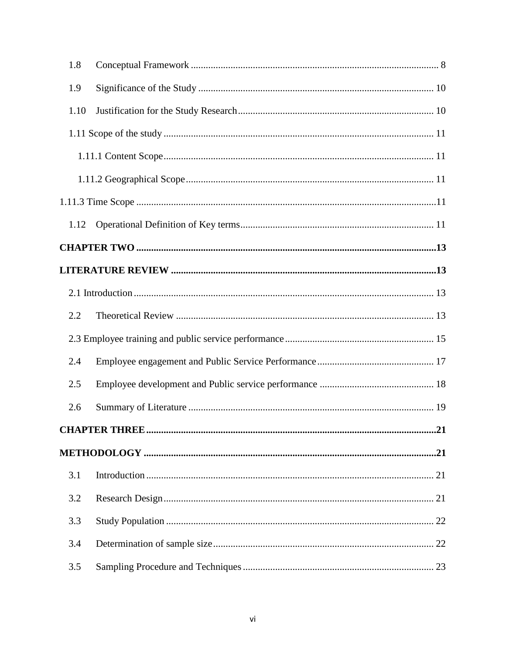| 1.8  |  |
|------|--|
| 1.9  |  |
| 1.10 |  |
|      |  |
|      |  |
|      |  |
|      |  |
| 1.12 |  |
|      |  |
|      |  |
|      |  |
| 2.2  |  |
|      |  |
| 2.4  |  |
| 2.5  |  |
| 2.6  |  |
|      |  |
|      |  |
| 3.1  |  |
| 3.2  |  |
| 3.3  |  |
| 3.4  |  |
| 3.5  |  |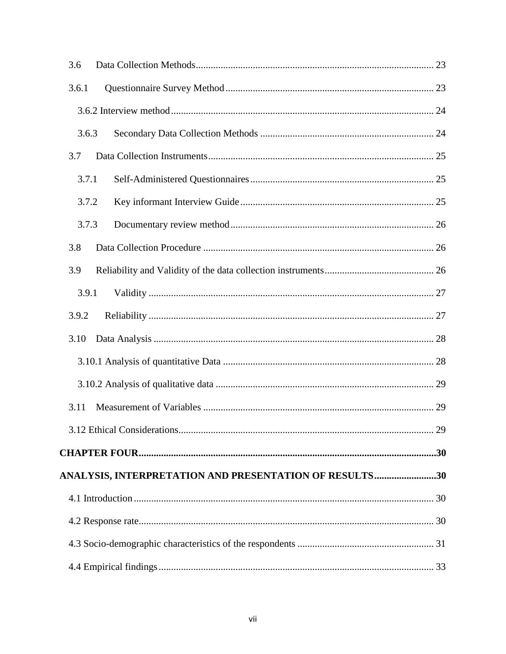| 3.6   |                                                        |  |
|-------|--------------------------------------------------------|--|
| 3.6.1 |                                                        |  |
|       |                                                        |  |
|       | 3.6.3                                                  |  |
| 3.7   |                                                        |  |
|       | 3.7.1                                                  |  |
|       | 3.7.2                                                  |  |
|       | 3.7.3                                                  |  |
| 3.8   |                                                        |  |
| 3.9   |                                                        |  |
|       | 3.9.1                                                  |  |
| 3.9.2 |                                                        |  |
| 3.10  |                                                        |  |
|       |                                                        |  |
|       |                                                        |  |
| 3.11  |                                                        |  |
|       |                                                        |  |
|       |                                                        |  |
|       | ANALYSIS, INTERPRETATION AND PRESENTATION OF RESULTS30 |  |
|       |                                                        |  |
|       |                                                        |  |
|       |                                                        |  |
|       |                                                        |  |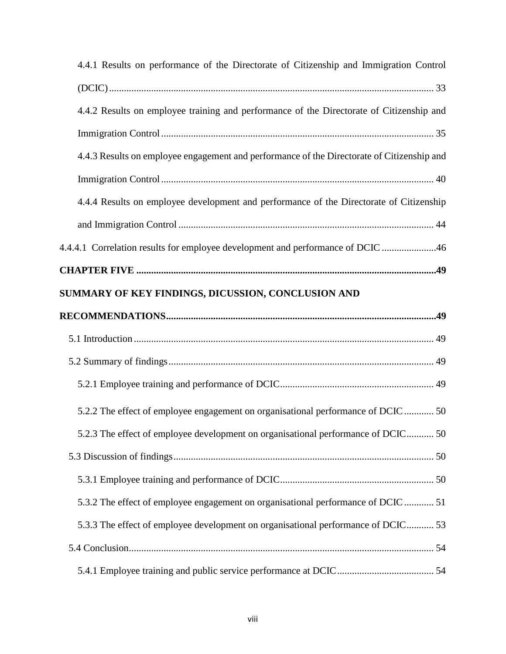| 4.4.1 Results on performance of the Directorate of Citizenship and Immigration Control     |
|--------------------------------------------------------------------------------------------|
|                                                                                            |
| 4.4.2 Results on employee training and performance of the Directorate of Citizenship and   |
|                                                                                            |
| 4.4.3 Results on employee engagement and performance of the Directorate of Citizenship and |
|                                                                                            |
| 4.4.4 Results on employee development and performance of the Directorate of Citizenship    |
|                                                                                            |
| 4.4.4.1 Correlation results for employee development and performance of DCIC 46            |
|                                                                                            |
| SUMMARY OF KEY FINDINGS, DICUSSION, CONCLUSION AND                                         |
|                                                                                            |
|                                                                                            |
|                                                                                            |
|                                                                                            |
|                                                                                            |
| 5.2.2 The effect of employee engagement on organisational performance of DCIC  50          |
| 5.2.3 The effect of employee development on organisational performance of DCIC 50          |
|                                                                                            |
|                                                                                            |
| 5.3.2 The effect of employee engagement on organisational performance of DCIC  51          |
| 5.3.3 The effect of employee development on organisational performance of DCIC 53          |
|                                                                                            |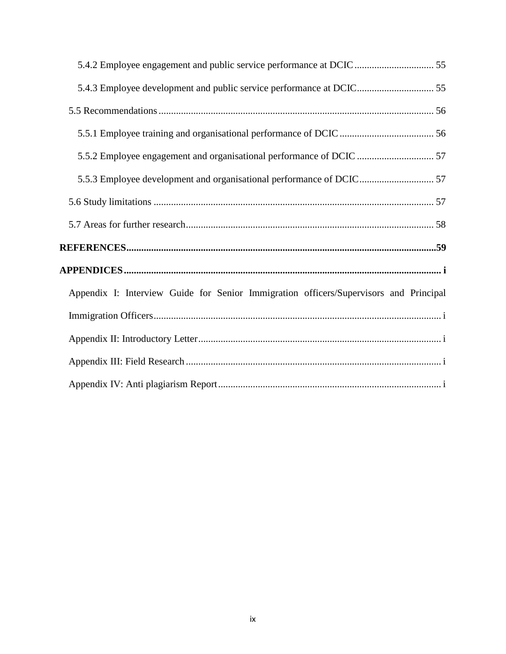<span id="page-9-0"></span>

| 5.5.3 Employee development and organisational performance of DCIC 57                  |
|---------------------------------------------------------------------------------------|
|                                                                                       |
|                                                                                       |
|                                                                                       |
|                                                                                       |
| Appendix I: Interview Guide for Senior Immigration officers/Supervisors and Principal |
|                                                                                       |
|                                                                                       |
|                                                                                       |
|                                                                                       |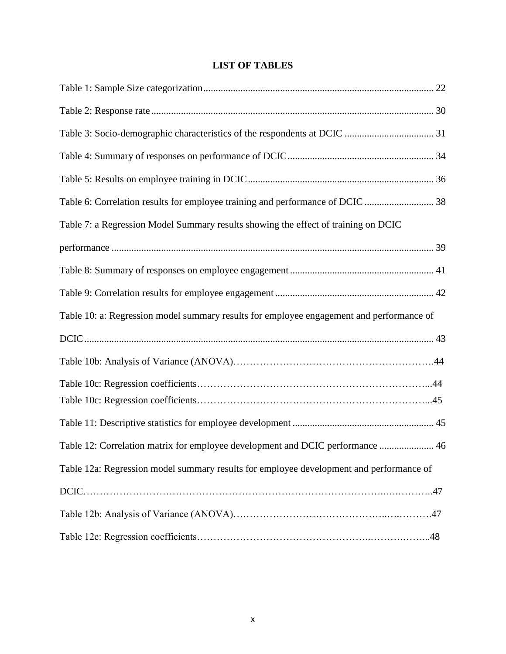# **LIST OF TABLES**

| Table 6: Correlation results for employee training and performance of DCIC  38           |
|------------------------------------------------------------------------------------------|
| Table 7: a Regression Model Summary results showing the effect of training on DCIC       |
|                                                                                          |
|                                                                                          |
|                                                                                          |
| Table 10: a: Regression model summary results for employee engagement and performance of |
|                                                                                          |
|                                                                                          |
|                                                                                          |
|                                                                                          |
|                                                                                          |
| Table 12: Correlation matrix for employee development and DCIC performance  46           |
| Table 12a: Regression model summary results for employee development and performance of  |
|                                                                                          |
|                                                                                          |
|                                                                                          |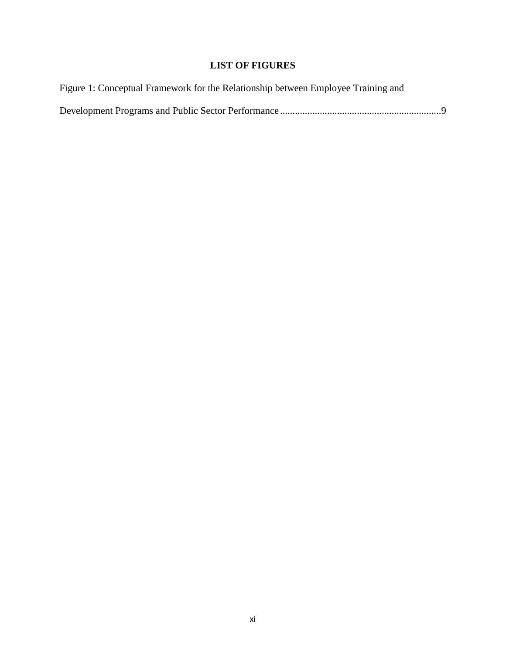# **LIST OF FIGURES**

<span id="page-11-0"></span>

| Figure 1: Conceptual Framework for the Relationship between Employee Training and |  |
|-----------------------------------------------------------------------------------|--|
|                                                                                   |  |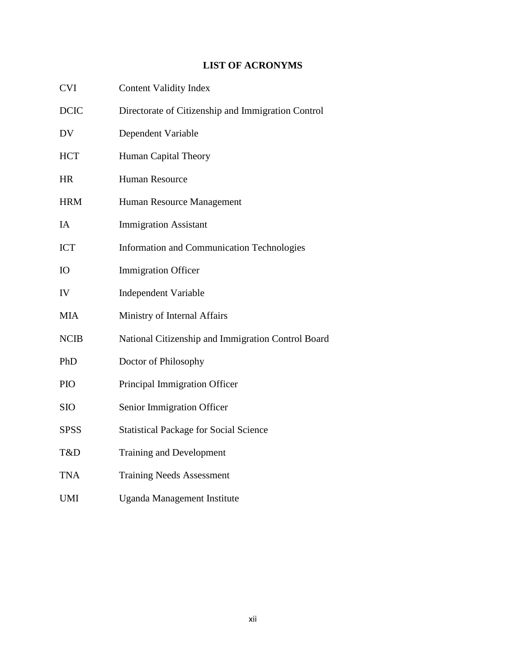# **LIST OF ACRONYMS**

<span id="page-12-0"></span>

| <b>CVI</b>  | <b>Content Validity Index</b>                      |
|-------------|----------------------------------------------------|
| <b>DCIC</b> | Directorate of Citizenship and Immigration Control |
| DV          | Dependent Variable                                 |
| <b>HCT</b>  | Human Capital Theory                               |
| <b>HR</b>   | Human Resource                                     |
| <b>HRM</b>  | Human Resource Management                          |
| IA          | <b>Immigration Assistant</b>                       |
| <b>ICT</b>  | <b>Information and Communication Technologies</b>  |
| IO          | <b>Immigration Officer</b>                         |
| IV          | <b>Independent Variable</b>                        |
| <b>MIA</b>  | Ministry of Internal Affairs                       |
| <b>NCIB</b> | National Citizenship and Immigration Control Board |
| PhD         | Doctor of Philosophy                               |
| <b>PIO</b>  | Principal Immigration Officer                      |
| SIO         | Senior Immigration Officer                         |
| <b>SPSS</b> | <b>Statistical Package for Social Science</b>      |
| T&D         | <b>Training and Development</b>                    |
| <b>TNA</b>  | <b>Training Needs Assessment</b>                   |
| <b>UMI</b>  | <b>Uganda Management Institute</b>                 |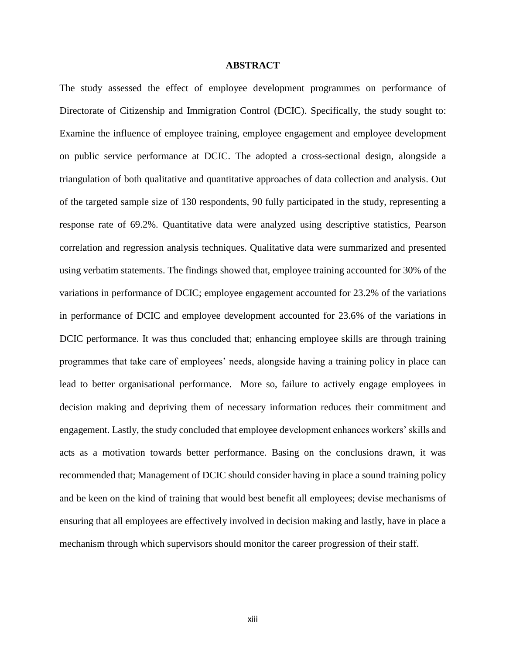#### **ABSTRACT**

<span id="page-13-0"></span>The study assessed the effect of employee development programmes on performance of Directorate of Citizenship and Immigration Control (DCIC). Specifically, the study sought to: Examine the influence of employee training, employee engagement and employee development on public service performance at DCIC. The adopted a cross-sectional design, alongside a triangulation of both qualitative and quantitative approaches of data collection and analysis. Out of the targeted sample size of 130 respondents, 90 fully participated in the study, representing a response rate of 69.2%. Quantitative data were analyzed using descriptive statistics, Pearson correlation and regression analysis techniques. Qualitative data were summarized and presented using verbatim statements. The findings showed that, employee training accounted for 30% of the variations in performance of DCIC; employee engagement accounted for 23.2% of the variations in performance of DCIC and employee development accounted for 23.6% of the variations in DCIC performance. It was thus concluded that; enhancing employee skills are through training programmes that take care of employees' needs, alongside having a training policy in place can lead to better organisational performance. More so, failure to actively engage employees in decision making and depriving them of necessary information reduces their commitment and engagement. Lastly, the study concluded that employee development enhances workers' skills and acts as a motivation towards better performance. Basing on the conclusions drawn, it was recommended that; Management of DCIC should consider having in place a sound training policy and be keen on the kind of training that would best benefit all employees; devise mechanisms of ensuring that all employees are effectively involved in decision making and lastly, have in place a mechanism through which supervisors should monitor the career progression of their staff.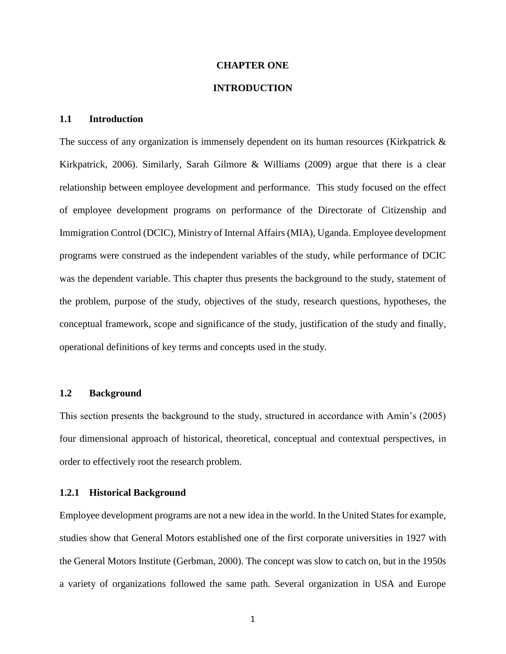#### **CHAPTER ONE**

#### **INTRODUCTION**

#### <span id="page-14-2"></span><span id="page-14-1"></span><span id="page-14-0"></span>**1.1 Introduction**

The success of any organization is immensely dependent on its human resources (Kirkpatrick & Kirkpatrick, 2006). Similarly, Sarah Gilmore & Williams (2009) argue that there is a clear relationship between employee development and performance. This study focused on the effect of employee development programs on performance of the Directorate of Citizenship and Immigration Control (DCIC), Ministry of Internal Affairs (MIA), Uganda. Employee development programs were construed as the independent variables of the study, while performance of DCIC was the dependent variable. This chapter thus presents the background to the study, statement of the problem, purpose of the study, objectives of the study, research questions, hypotheses, the conceptual framework, scope and significance of the study, justification of the study and finally, operational definitions of key terms and concepts used in the study.

#### <span id="page-14-3"></span>**1.2 Background**

This section presents the background to the study, structured in accordance with Amin's (2005) four dimensional approach of historical, theoretical, conceptual and contextual perspectives, in order to effectively root the research problem.

#### <span id="page-14-4"></span>**1.2.1 Historical Background**

Employee development programs are not a new idea in the world. In the United States for example, studies show that General Motors established one of the first corporate universities in 1927 with the General Motors Institute (Gerbman, 2000). The concept was slow to catch on, but in the 1950s a variety of organizations followed the same path. Several organization in USA and Europe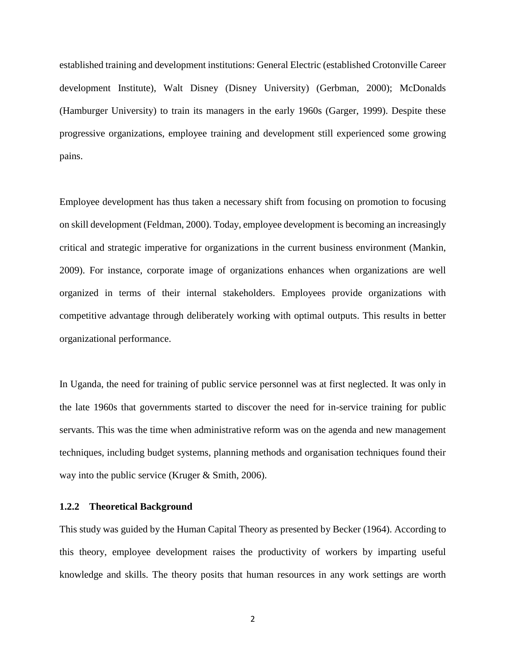established training and development institutions: General Electric (established Crotonville Career development Institute), Walt Disney (Disney University) (Gerbman, 2000); McDonalds (Hamburger University) to train its managers in the early 1960s (Garger, 1999). Despite these progressive organizations, employee training and development still experienced some growing pains.

Employee development has thus taken a necessary shift from focusing on promotion to focusing on skill development (Feldman, 2000). Today, employee development is becoming an increasingly critical and strategic imperative for organizations in the current business environment (Mankin, 2009). For instance, corporate image of organizations enhances when organizations are well organized in terms of their internal stakeholders. Employees provide organizations with competitive advantage through deliberately working with optimal outputs. This results in better organizational performance.

In Uganda, the need for training of public service personnel was at first neglected. It was only in the late 1960s that governments started to discover the need for in-service training for public servants. This was the time when administrative reform was on the agenda and new management techniques, including budget systems, planning methods and organisation techniques found their way into the public service (Kruger & Smith, 2006).

#### <span id="page-15-0"></span>**1.2.2 Theoretical Background**

This study was guided by the Human Capital Theory as presented by Becker (1964). According to this theory, employee development raises the productivity of workers by imparting useful knowledge and skills. The theory posits that human resources in any work settings are worth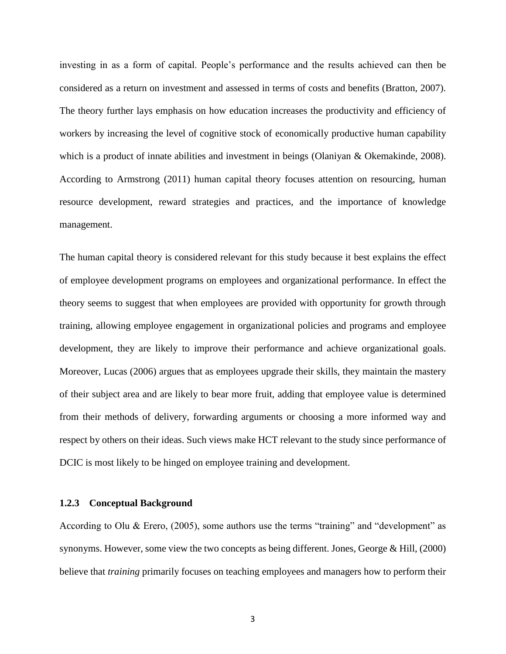investing in as a form of capital. People's performance and the results achieved can then be considered as a return on investment and assessed in terms of costs and benefits (Bratton, 2007). The theory further lays emphasis on how education increases the productivity and efficiency of workers by increasing the level of cognitive stock of economically productive human capability which is a product of innate abilities and investment in beings (Olaniyan & Okemakinde, 2008). According to Armstrong (2011) human capital theory focuses attention on resourcing, human resource development, reward strategies and practices, and the importance of knowledge management.

The human capital theory is considered relevant for this study because it best explains the effect of employee development programs on employees and organizational performance. In effect the theory seems to suggest that when employees are provided with opportunity for growth through training, allowing employee engagement in organizational policies and programs and employee development, they are likely to improve their performance and achieve organizational goals. Moreover, Lucas (2006) argues that as employees upgrade their skills, they maintain the mastery of their subject area and are likely to bear more fruit, adding that employee value is determined from their methods of delivery, forwarding arguments or choosing a more informed way and respect by others on their ideas. Such views make HCT relevant to the study since performance of DCIC is most likely to be hinged on employee training and development.

#### <span id="page-16-0"></span>**1.2.3 Conceptual Background**

According to Olu & Erero, (2005), some authors use the terms "training" and "development" as synonyms. However, some view the two concepts as being different. Jones, George  $\&$  Hill, (2000) believe that *training* primarily focuses on teaching employees and managers how to perform their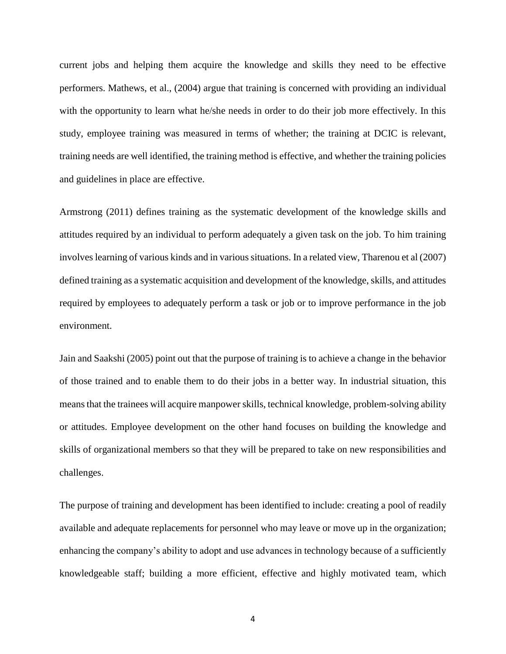current jobs and helping them acquire the knowledge and skills they need to be effective performers. Mathews, et al., (2004) argue that training is concerned with providing an individual with the opportunity to learn what he/she needs in order to do their job more effectively. In this study, employee training was measured in terms of whether; the training at DCIC is relevant, training needs are well identified, the training method is effective, and whether the training policies and guidelines in place are effective.

Armstrong (2011) defines training as the systematic development of the knowledge skills and attitudes required by an individual to perform adequately a given task on the job. To him training involves learning of various kinds and in various situations. In a related view, Tharenou et al (2007) defined training as a systematic acquisition and development of the knowledge, skills, and attitudes required by employees to adequately perform a task or job or to improve performance in the job environment.

Jain and Saakshi (2005) point out that the purpose of training is to achieve a change in the behavior of those trained and to enable them to do their jobs in a better way. In industrial situation, this means that the trainees will acquire manpower skills, technical knowledge, problem-solving ability or attitudes. Employee development on the other hand focuses on building the knowledge and skills of organizational members so that they will be prepared to take on new responsibilities and challenges.

The purpose of training and development has been identified to include: creating a pool of readily available and adequate replacements for personnel who may leave or move up in the organization; enhancing the company's ability to adopt and use advances in technology because of a sufficiently knowledgeable staff; building a more efficient, effective and highly motivated team, which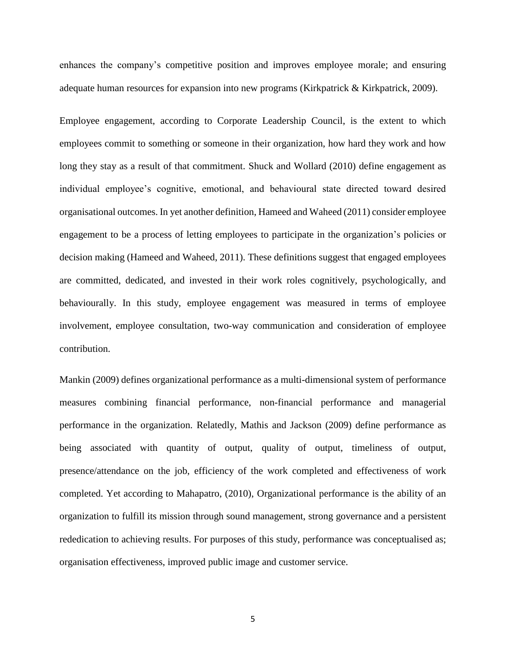enhances the company's competitive position and improves employee morale; and ensuring adequate human resources for expansion into new programs (Kirkpatrick & Kirkpatrick, 2009).

Employee engagement, according to Corporate Leadership Council, is the extent to which employees commit to something or someone in their organization, how hard they work and how long they stay as a result of that commitment. Shuck and Wollard (2010) define engagement as individual employee's cognitive, emotional, and behavioural state directed toward desired organisational outcomes. In yet another definition, Hameed and Waheed (2011) consider employee engagement to be a process of letting employees to participate in the organization's policies or decision making (Hameed and Waheed, 2011). These definitions suggest that engaged employees are committed, dedicated, and invested in their work roles cognitively, psychologically, and behaviourally. In this study, employee engagement was measured in terms of employee involvement, employee consultation, two-way communication and consideration of employee contribution.

Mankin (2009) defines organizational performance as a multi-dimensional system of performance measures combining financial performance, non-financial performance and managerial performance in the organization. Relatedly, Mathis and Jackson (2009) define performance as being associated with quantity of output, quality of output, timeliness of output, presence/attendance on the job, efficiency of the work completed and effectiveness of work completed. Yet according to Mahapatro, (2010), Organizational performance is the ability of an organization to fulfill its mission through sound management, strong governance and a persistent rededication to achieving results. For purposes of this study, performance was conceptualised as; organisation effectiveness, improved public image and customer service.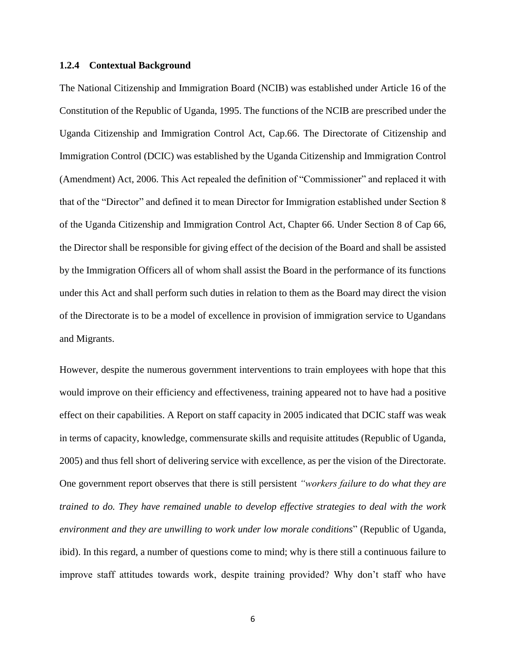#### <span id="page-19-0"></span>**1.2.4 Contextual Background**

The National Citizenship and Immigration Board (NCIB) was established under Article 16 of the Constitution of the Republic of Uganda, 1995. The functions of the NCIB are prescribed under the Uganda Citizenship and Immigration Control Act, Cap.66. The Directorate of Citizenship and Immigration Control (DCIC) was established by the Uganda Citizenship and Immigration Control (Amendment) Act, 2006. This Act repealed the definition of "Commissioner" and replaced it with that of the "Director" and defined it to mean Director for Immigration established under Section 8 of the Uganda Citizenship and Immigration Control Act, Chapter 66. Under Section 8 of Cap 66, the Director shall be responsible for giving effect of the decision of the Board and shall be assisted by the Immigration Officers all of whom shall assist the Board in the performance of its functions under this Act and shall perform such duties in relation to them as the Board may direct the vision of the Directorate is to be a model of excellence in provision of immigration service to Ugandans and Migrants.

However, despite the numerous government interventions to train employees with hope that this would improve on their efficiency and effectiveness, training appeared not to have had a positive effect on their capabilities. A Report on staff capacity in 2005 indicated that DCIC staff was weak in terms of capacity, knowledge, commensurate skills and requisite attitudes (Republic of Uganda, 2005) and thus fell short of delivering service with excellence, as per the vision of the Directorate. One government report observes that there is still persistent *"workers failure to do what they are trained to do. They have remained unable to develop effective strategies to deal with the work environment and they are unwilling to work under low morale conditions*" (Republic of Uganda, ibid). In this regard, a number of questions come to mind; why is there still a continuous failure to improve staff attitudes towards work, despite training provided? Why don't staff who have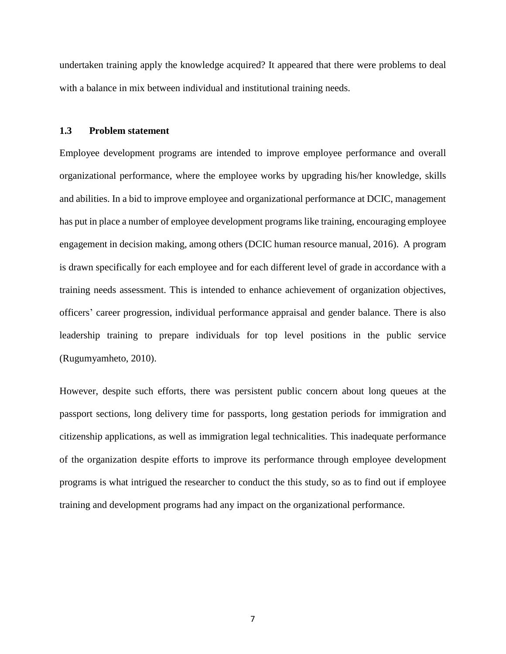undertaken training apply the knowledge acquired? It appeared that there were problems to deal with a balance in mix between individual and institutional training needs.

#### <span id="page-20-0"></span>**1.3 Problem statement**

Employee development programs are intended to improve employee performance and overall organizational performance, where the employee works by upgrading his/her knowledge, skills and abilities. In a bid to improve employee and organizational performance at DCIC, management has put in place a number of employee development programs like training, encouraging employee engagement in decision making, among others (DCIC human resource manual, 2016). A program is drawn specifically for each employee and for each different level of grade in accordance with a training needs assessment. This is intended to enhance achievement of organization objectives, officers' career progression, individual performance appraisal and gender balance. There is also leadership training to prepare individuals for top level positions in the public service (Rugumyamheto, 2010).

However, despite such efforts, there was persistent public concern about long queues at the passport sections, long delivery time for passports, long gestation periods for immigration and citizenship applications, as well as immigration legal technicalities. This inadequate performance of the organization despite efforts to improve its performance through employee development programs is what intrigued the researcher to conduct the this study, so as to find out if employee training and development programs had any impact on the organizational performance.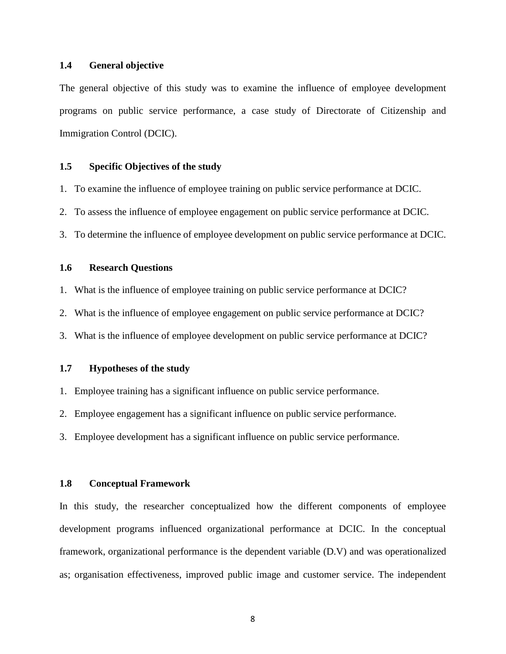#### <span id="page-21-0"></span>**1.4 General objective**

The general objective of this study was to examine the influence of employee development programs on public service performance, a case study of Directorate of Citizenship and Immigration Control (DCIC).

#### <span id="page-21-1"></span>**1.5 Specific Objectives of the study**

1. To examine the influence of employee training on public service performance at DCIC.

2. To assess the influence of employee engagement on public service performance at DCIC.

3. To determine the influence of employee development on public service performance at DCIC.

#### <span id="page-21-2"></span>**1.6 Research Questions**

1. What is the influence of employee training on public service performance at DCIC?

2. What is the influence of employee engagement on public service performance at DCIC?

3. What is the influence of employee development on public service performance at DCIC?

#### <span id="page-21-3"></span>**1.7 Hypotheses of the study**

- 1. Employee training has a significant influence on public service performance.
- 2. Employee engagement has a significant influence on public service performance.
- 3. Employee development has a significant influence on public service performance.

#### <span id="page-21-4"></span>**1.8 Conceptual Framework**

In this study, the researcher conceptualized how the different components of employee development programs influenced organizational performance at DCIC. In the conceptual framework, organizational performance is the dependent variable (D.V) and was operationalized as; organisation effectiveness, improved public image and customer service. The independent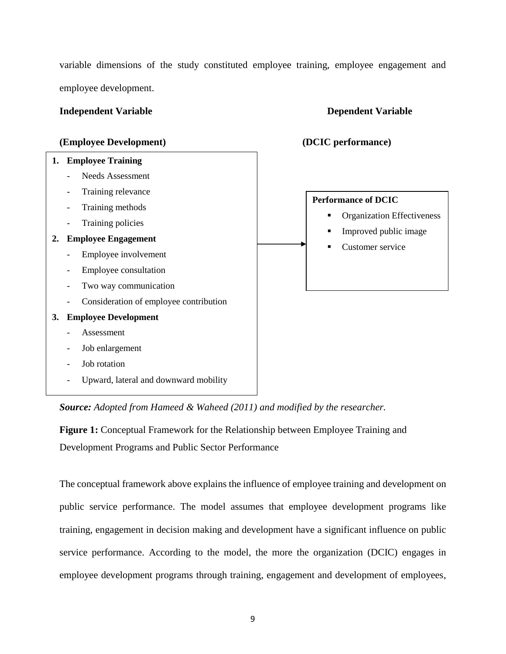variable dimensions of the study constituted employee training, employee engagement and employee development.

#### **Independent Variable 19 Dependent Variable 19 Dependent Variable**

#### **(Employee Development) (DCIC performance)**

# **1. Employee Training** - Needs Assessment Training relevance

- Training methods
- Training policies

#### **2. Employee Engagement**

- Employee involvement
- Employee consultation
- Two way communication
- Consideration of employee contribution

#### **3. Employee Development**

- **Assessment**
- Job enlargement
- Job rotation
- Upward, lateral and downward mobility

*Source: Adopted from Hameed & Waheed (2011) and modified by the researcher.*

<span id="page-22-0"></span>**Figure 1:** Conceptual Framework for the Relationship between Employee Training and Development Programs and Public Sector Performance

The conceptual framework above explains the influence of employee training and development on public service performance. The model assumes that employee development programs like training, engagement in decision making and development have a significant influence on public service performance. According to the model, the more the organization (DCIC) engages in employee development programs through training, engagement and development of employees,



- **•** Organization Effectiveness
- Improved public image
- Customer service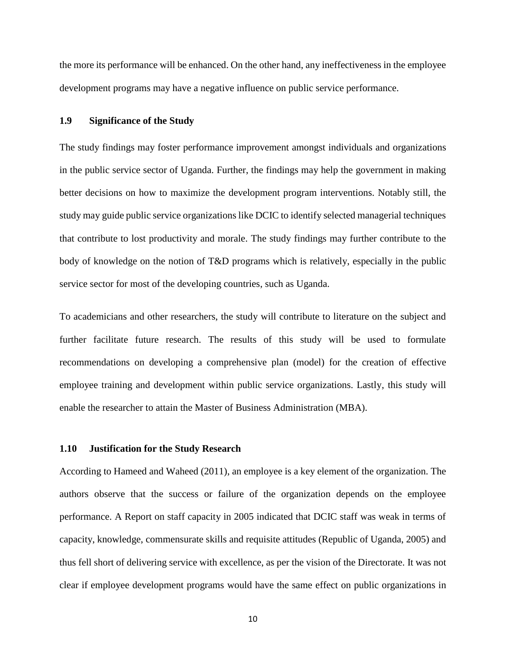the more its performance will be enhanced. On the other hand, any ineffectiveness in the employee development programs may have a negative influence on public service performance.

#### <span id="page-23-0"></span>**1.9 Significance of the Study**

The study findings may foster performance improvement amongst individuals and organizations in the public service sector of Uganda. Further, the findings may help the government in making better decisions on how to maximize the development program interventions. Notably still, the study may guide public service organizations like DCIC to identify selected managerial techniques that contribute to lost productivity and morale. The study findings may further contribute to the body of knowledge on the notion of T&D programs which is relatively, especially in the public service sector for most of the developing countries, such as Uganda.

To academicians and other researchers, the study will contribute to literature on the subject and further facilitate future research. The results of this study will be used to formulate recommendations on developing a comprehensive plan (model) for the creation of effective employee training and development within public service organizations. Lastly, this study will enable the researcher to attain the Master of Business Administration (MBA).

#### <span id="page-23-1"></span>**1.10 Justification for the Study Research**

According to Hameed and Waheed (2011), an employee is a key element of the organization. The authors observe that the success or failure of the organization depends on the employee performance. A Report on staff capacity in 2005 indicated that DCIC staff was weak in terms of capacity, knowledge, commensurate skills and requisite attitudes (Republic of Uganda, 2005) and thus fell short of delivering service with excellence, as per the vision of the Directorate. It was not clear if employee development programs would have the same effect on public organizations in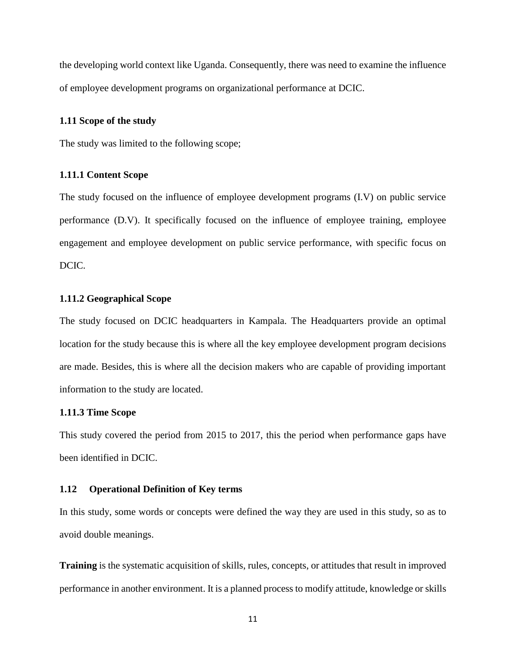the developing world context like Uganda. Consequently, there was need to examine the influence of employee development programs on organizational performance at DCIC.

#### <span id="page-24-0"></span>**1.11 Scope of the study**

The study was limited to the following scope;

#### <span id="page-24-1"></span>**1.11.1 Content Scope**

The study focused on the influence of employee development programs (I.V) on public service performance (D.V). It specifically focused on the influence of employee training, employee engagement and employee development on public service performance, with specific focus on DCIC.

#### <span id="page-24-2"></span>**1.11.2 Geographical Scope**

The study focused on DCIC headquarters in Kampala. The Headquarters provide an optimal location for the study because this is where all the key employee development program decisions are made. Besides, this is where all the decision makers who are capable of providing important information to the study are located.

#### <span id="page-24-3"></span>**1.11.3 Time Scope**

This study covered the period from 2015 to 2017, this the period when performance gaps have been identified in DCIC.

#### <span id="page-24-4"></span>**1.12 Operational Definition of Key terms**

In this study, some words or concepts were defined the way they are used in this study, so as to avoid double meanings.

**Training** is the systematic acquisition of skills, rules, concepts, or attitudes that result in improved performance in another environment. It is a planned process to modify attitude, knowledge or skills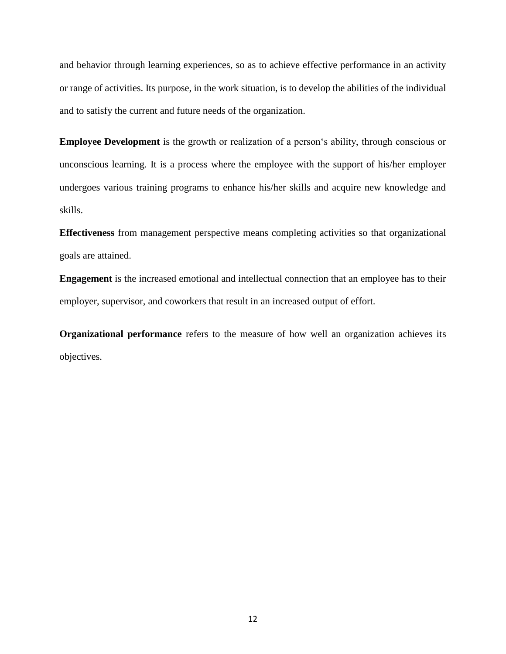and behavior through learning experiences, so as to achieve effective performance in an activity or range of activities. Its purpose, in the work situation, is to develop the abilities of the individual and to satisfy the current and future needs of the organization.

**Employee Development** is the growth or realization of a person's ability, through conscious or unconscious learning. It is a process where the employee with the support of his/her employer undergoes various training programs to enhance his/her skills and acquire new knowledge and skills.

**Effectiveness** from management perspective means completing activities so that organizational goals are attained.

**Engagement** is the increased emotional and intellectual connection that an employee has to their employer, supervisor, and coworkers that result in an increased output of effort.

**Organizational performance** refers to the measure of how well an organization achieves its objectives.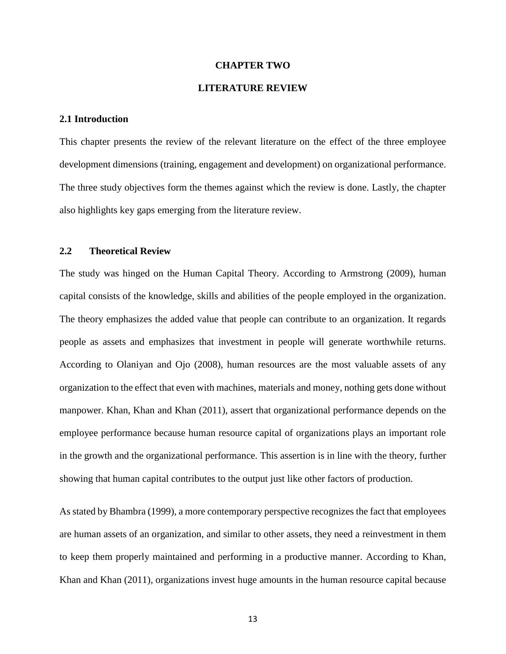#### **CHAPTER TWO**

#### **LITERATURE REVIEW**

#### <span id="page-26-2"></span><span id="page-26-1"></span><span id="page-26-0"></span>**2.1 Introduction**

This chapter presents the review of the relevant literature on the effect of the three employee development dimensions (training, engagement and development) on organizational performance. The three study objectives form the themes against which the review is done. Lastly, the chapter also highlights key gaps emerging from the literature review.

#### <span id="page-26-3"></span>**2.2 Theoretical Review**

The study was hinged on the Human Capital Theory. According to Armstrong (2009), human capital consists of the knowledge, skills and abilities of the people employed in the organization. The theory emphasizes the added value that people can contribute to an organization. It regards people as assets and emphasizes that investment in people will generate worthwhile returns. According to Olaniyan and Ojo (2008), human resources are the most valuable assets of any organization to the effect that even with machines, materials and money, nothing gets done without manpower. Khan, Khan and Khan (2011), assert that organizational performance depends on the employee performance because human resource capital of organizations plays an important role in the growth and the organizational performance. This assertion is in line with the theory, further showing that human capital contributes to the output just like other factors of production.

As stated by Bhambra (1999), a more contemporary perspective recognizes the fact that employees are human assets of an organization, and similar to other assets, they need a reinvestment in them to keep them properly maintained and performing in a productive manner. According to Khan, Khan and Khan (2011), organizations invest huge amounts in the human resource capital because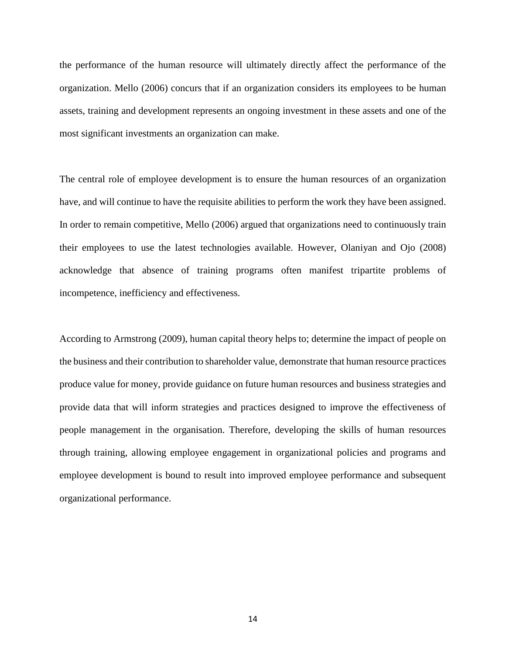the performance of the human resource will ultimately directly affect the performance of the organization. Mello (2006) concurs that if an organization considers its employees to be human assets, training and development represents an ongoing investment in these assets and one of the most significant investments an organization can make.

The central role of employee development is to ensure the human resources of an organization have, and will continue to have the requisite abilities to perform the work they have been assigned. In order to remain competitive, Mello (2006) argued that organizations need to continuously train their employees to use the latest technologies available. However, Olaniyan and Ojo (2008) acknowledge that absence of training programs often manifest tripartite problems of incompetence, inefficiency and effectiveness.

According to Armstrong (2009), human capital theory helps to; determine the impact of people on the business and their contribution to shareholder value, demonstrate that human resource practices produce value for money, provide guidance on future human resources and business strategies and provide data that will inform strategies and practices designed to improve the effectiveness of people management in the organisation. Therefore, developing the skills of human resources through training, allowing employee engagement in organizational policies and programs and employee development is bound to result into improved employee performance and subsequent organizational performance.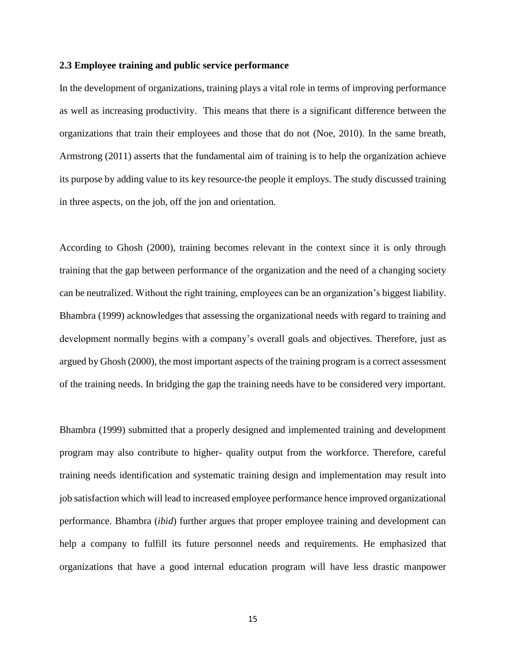#### <span id="page-28-0"></span>**2.3 Employee training and public service performance**

In the development of organizations, training plays a vital role in terms of improving performance as well as increasing productivity. This means that there is a significant difference between the organizations that train their employees and those that do not (Noe, 2010). In the same breath, Armstrong (2011) asserts that the fundamental aim of training is to help the organization achieve its purpose by adding value to its key resource-the people it employs. The study discussed training in three aspects, on the job, off the jon and orientation.

According to Ghosh (2000), training becomes relevant in the context since it is only through training that the gap between performance of the organization and the need of a changing society can be neutralized. Without the right training, employees can be an organization's biggest liability. Bhambra (1999) acknowledges that assessing the organizational needs with regard to training and development normally begins with a company's overall goals and objectives. Therefore, just as argued by Ghosh (2000), the most important aspects of the training program is a correct assessment of the training needs. In bridging the gap the training needs have to be considered very important.

Bhambra (1999) submitted that a properly designed and implemented training and development program may also contribute to higher- quality output from the workforce. Therefore, careful training needs identification and systematic training design and implementation may result into job satisfaction which will lead to increased employee performance hence improved organizational performance. Bhambra (*ibid*) further argues that proper employee training and development can help a company to fulfill its future personnel needs and requirements. He emphasized that organizations that have a good internal education program will have less drastic manpower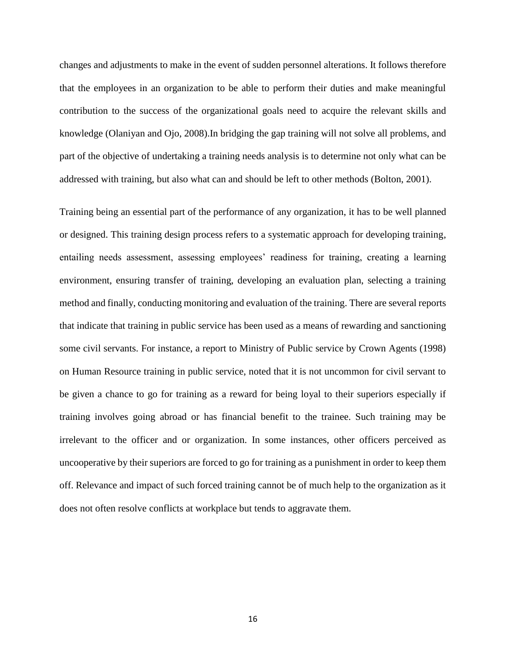changes and adjustments to make in the event of sudden personnel alterations. It follows therefore that the employees in an organization to be able to perform their duties and make meaningful contribution to the success of the organizational goals need to acquire the relevant skills and knowledge (Olaniyan and Ojo, 2008).In bridging the gap training will not solve all problems, and part of the objective of undertaking a training needs analysis is to determine not only what can be addressed with training, but also what can and should be left to other methods (Bolton, 2001).

Training being an essential part of the performance of any organization, it has to be well planned or designed. This training design process refers to a systematic approach for developing training, entailing needs assessment, assessing employees' readiness for training, creating a learning environment, ensuring transfer of training, developing an evaluation plan, selecting a training method and finally, conducting monitoring and evaluation of the training. There are several reports that indicate that training in public service has been used as a means of rewarding and sanctioning some civil servants. For instance, a report to Ministry of Public service by Crown Agents (1998) on Human Resource training in public service, noted that it is not uncommon for civil servant to be given a chance to go for training as a reward for being loyal to their superiors especially if training involves going abroad or has financial benefit to the trainee. Such training may be irrelevant to the officer and or organization. In some instances, other officers perceived as uncooperative by their superiors are forced to go for training as a punishment in order to keep them off. Relevance and impact of such forced training cannot be of much help to the organization as it does not often resolve conflicts at workplace but tends to aggravate them.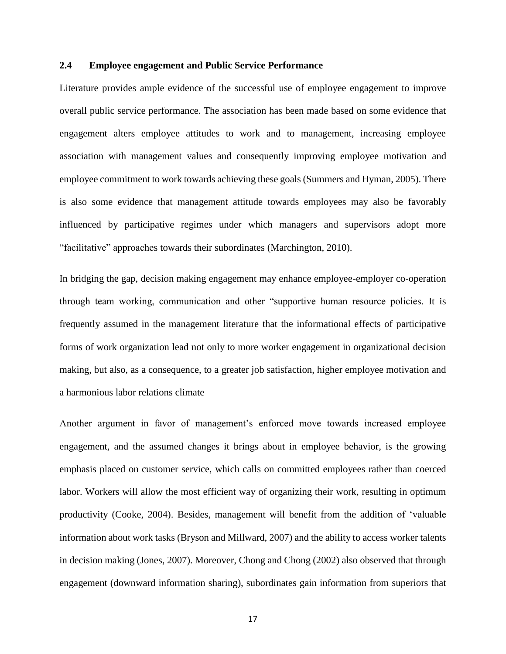#### <span id="page-30-0"></span>**2.4 Employee engagement and Public Service Performance**

Literature provides ample evidence of the successful use of employee engagement to improve overall public service performance. The association has been made based on some evidence that engagement alters employee attitudes to work and to management, increasing employee association with management values and consequently improving employee motivation and employee commitment to work towards achieving these goals (Summers and Hyman, 2005). There is also some evidence that management attitude towards employees may also be favorably influenced by participative regimes under which managers and supervisors adopt more "facilitative" approaches towards their subordinates (Marchington, 2010).

In bridging the gap, decision making engagement may enhance employee-employer co-operation through team working, communication and other "supportive human resource policies. It is frequently assumed in the management literature that the informational effects of participative forms of work organization lead not only to more worker engagement in organizational decision making, but also, as a consequence, to a greater job satisfaction, higher employee motivation and a harmonious labor relations climate

Another argument in favor of management's enforced move towards increased employee engagement, and the assumed changes it brings about in employee behavior, is the growing emphasis placed on customer service, which calls on committed employees rather than coerced labor. Workers will allow the most efficient way of organizing their work, resulting in optimum productivity (Cooke, 2004). Besides, management will benefit from the addition of 'valuable information about work tasks (Bryson and Millward, 2007) and the ability to access worker talents in decision making (Jones, 2007). Moreover, Chong and Chong (2002) also observed that through engagement (downward information sharing), subordinates gain information from superiors that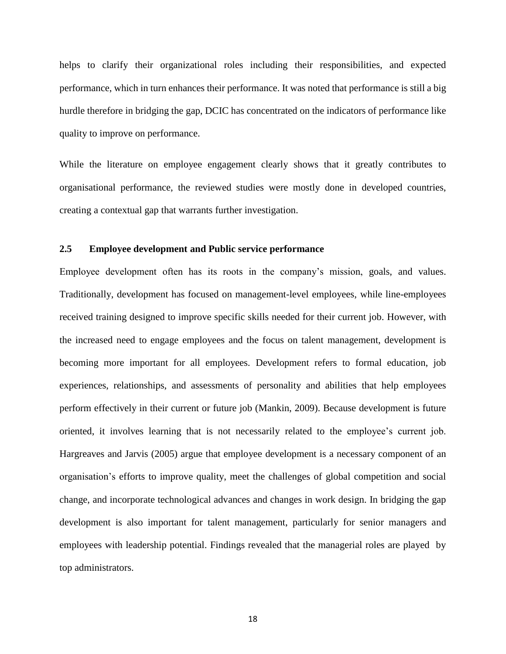helps to clarify their organizational roles including their responsibilities, and expected performance, which in turn enhances their performance. It was noted that performance is still a big hurdle therefore in bridging the gap, DCIC has concentrated on the indicators of performance like quality to improve on performance.

While the literature on employee engagement clearly shows that it greatly contributes to organisational performance, the reviewed studies were mostly done in developed countries, creating a contextual gap that warrants further investigation.

#### <span id="page-31-0"></span>**2.5 Employee development and Public service performance**

Employee development often has its roots in the company's mission, goals, and values. Traditionally, development has focused on management-level employees, while line-employees received training designed to improve specific skills needed for their current job. However, with the increased need to engage employees and the focus on talent management, development is becoming more important for all employees. Development refers to formal education, job experiences, relationships, and assessments of personality and abilities that help employees perform effectively in their current or future job (Mankin, 2009). Because development is future oriented, it involves learning that is not necessarily related to the employee's current job. Hargreaves and Jarvis (2005) argue that employee development is a necessary component of an organisation's efforts to improve quality, meet the challenges of global competition and social change, and incorporate technological advances and changes in work design. In bridging the gap development is also important for talent management, particularly for senior managers and employees with leadership potential. Findings revealed that the managerial roles are played by top administrators.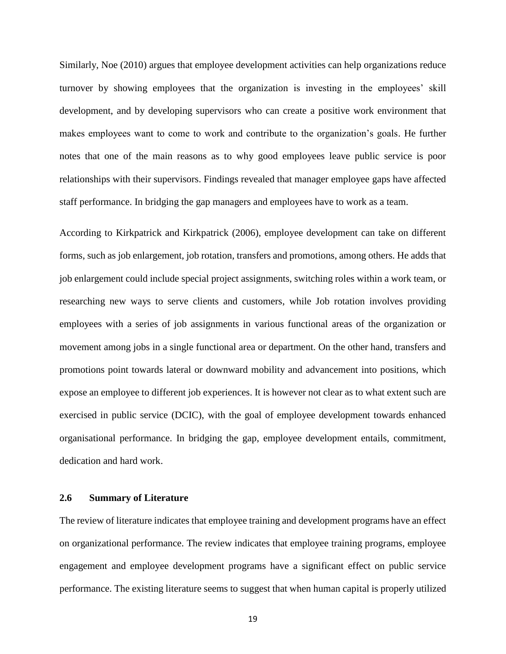Similarly, Noe (2010) argues that employee development activities can help organizations reduce turnover by showing employees that the organization is investing in the employees' skill development, and by developing supervisors who can create a positive work environment that makes employees want to come to work and contribute to the organization's goals. He further notes that one of the main reasons as to why good employees leave public service is poor relationships with their supervisors. Findings revealed that manager employee gaps have affected staff performance. In bridging the gap managers and employees have to work as a team.

According to Kirkpatrick and Kirkpatrick (2006), employee development can take on different forms, such as job enlargement, job rotation, transfers and promotions, among others. He adds that job enlargement could include special project assignments, switching roles within a work team, or researching new ways to serve clients and customers, while Job rotation involves providing employees with a series of job assignments in various functional areas of the organization or movement among jobs in a single functional area or department. On the other hand, transfers and promotions point towards lateral or downward mobility and advancement into positions, which expose an employee to different job experiences. It is however not clear as to what extent such are exercised in public service (DCIC), with the goal of employee development towards enhanced organisational performance. In bridging the gap, employee development entails, commitment, dedication and hard work.

#### <span id="page-32-0"></span>**2.6 Summary of Literature**

The review of literature indicates that employee training and development programs have an effect on organizational performance. The review indicates that employee training programs, employee engagement and employee development programs have a significant effect on public service performance. The existing literature seems to suggest that when human capital is properly utilized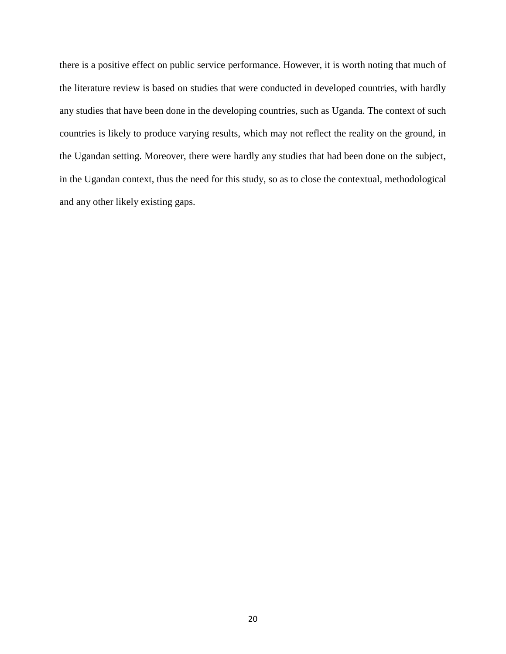there is a positive effect on public service performance. However, it is worth noting that much of the literature review is based on studies that were conducted in developed countries, with hardly any studies that have been done in the developing countries, such as Uganda. The context of such countries is likely to produce varying results, which may not reflect the reality on the ground, in the Ugandan setting. Moreover, there were hardly any studies that had been done on the subject, in the Ugandan context, thus the need for this study, so as to close the contextual, methodological and any other likely existing gaps.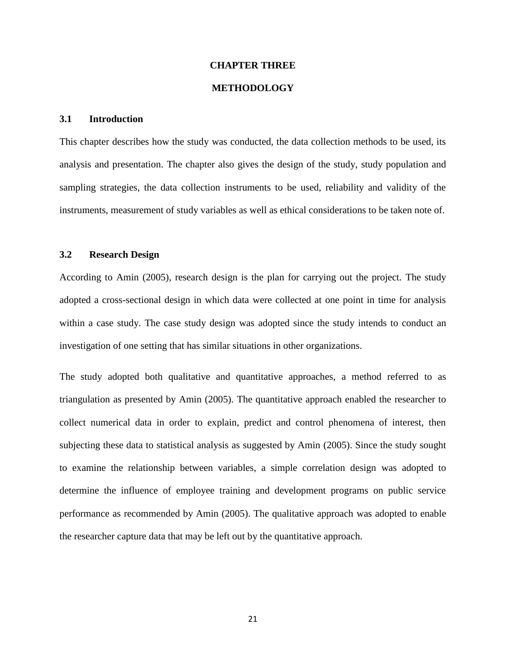#### **CHAPTER THREE**

#### **METHODOLOGY**

#### <span id="page-34-2"></span><span id="page-34-1"></span><span id="page-34-0"></span>**3.1 Introduction**

This chapter describes how the study was conducted, the data collection methods to be used, its analysis and presentation. The chapter also gives the design of the study, study population and sampling strategies, the data collection instruments to be used, reliability and validity of the instruments, measurement of study variables as well as ethical considerations to be taken note of.

#### <span id="page-34-3"></span>**3.2 Research Design**

According to Amin (2005), research design is the plan for carrying out the project. The study adopted a cross-sectional design in which data were collected at one point in time for analysis within a case study. The case study design was adopted since the study intends to conduct an investigation of one setting that has similar situations in other organizations.

The study adopted both qualitative and quantitative approaches, a method referred to as triangulation as presented by Amin (2005). The quantitative approach enabled the researcher to collect numerical data in order to explain, predict and control phenomena of interest, then subjecting these data to statistical analysis as suggested by Amin (2005). Since the study sought to examine the relationship between variables, a simple correlation design was adopted to determine the influence of employee training and development programs on public service performance as recommended by Amin (2005). The qualitative approach was adopted to enable the researcher capture data that may be left out by the quantitative approach.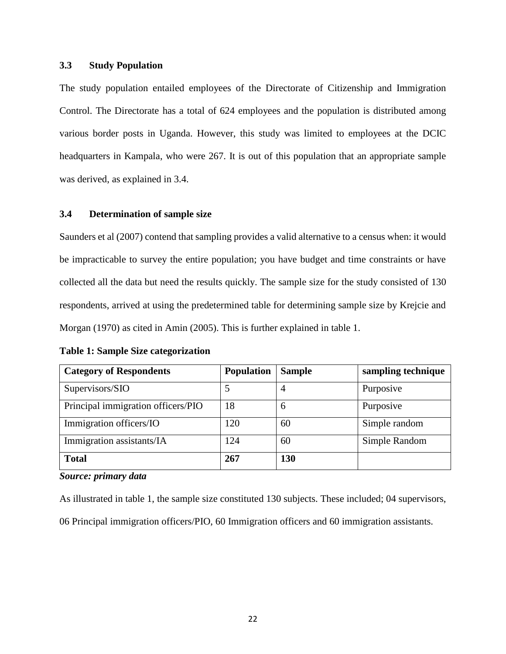### <span id="page-35-0"></span>**3.3 Study Population**

The study population entailed employees of the Directorate of Citizenship and Immigration Control. The Directorate has a total of 624 employees and the population is distributed among various border posts in Uganda. However, this study was limited to employees at the DCIC headquarters in Kampala, who were 267. It is out of this population that an appropriate sample was derived, as explained in 3.4.

#### <span id="page-35-1"></span>**3.4 Determination of sample size**

Saunders et al (2007) contend that sampling provides a valid alternative to a census when: it would be impracticable to survey the entire population; you have budget and time constraints or have collected all the data but need the results quickly. The sample size for the study consisted of 130 respondents, arrived at using the predetermined table for determining sample size by Krejcie and Morgan (1970) as cited in Amin (2005). This is further explained in table 1.

| <b>Category of Respondents</b>     | <b>Population</b> | <b>Sample</b> | sampling technique |
|------------------------------------|-------------------|---------------|--------------------|
| Supervisors/SIO                    |                   | 4             | Purposive          |
| Principal immigration officers/PIO | 18                | 6             | Purposive          |
| Immigration officers/IO            | 120               | 60            | Simple random      |
| Immigration assistants/IA          | 124               | 60            | Simple Random      |
| <b>Total</b>                       | 267               | 130           |                    |

<span id="page-35-2"></span>**Table 1: Sample Size categorization**

#### *Source: primary data*

As illustrated in table 1, the sample size constituted 130 subjects. These included; 04 supervisors,

06 Principal immigration officers/PIO, 60 Immigration officers and 60 immigration assistants.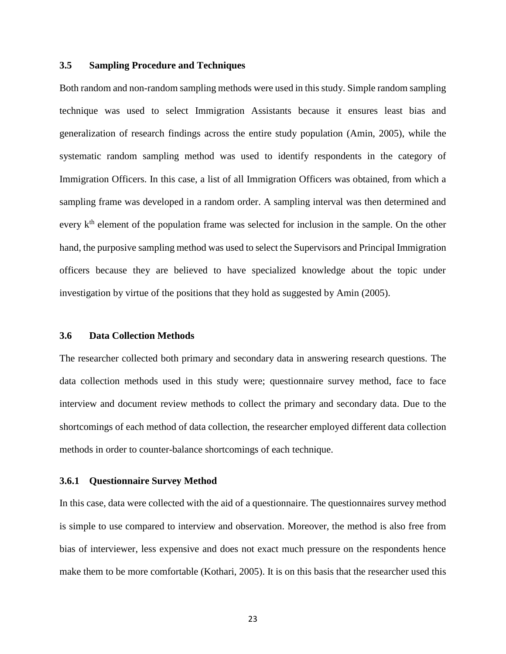# **3.5 Sampling Procedure and Techniques**

Both random and non-random sampling methods were used in this study. Simple random sampling technique was used to select Immigration Assistants because it ensures least bias and generalization of research findings across the entire study population (Amin, 2005), while the systematic random sampling method was used to identify respondents in the category of Immigration Officers. In this case, a list of all Immigration Officers was obtained, from which a sampling frame was developed in a random order. A sampling interval was then determined and every  $k<sup>th</sup>$  element of the population frame was selected for inclusion in the sample. On the other hand, the purposive sampling method was used to select the Supervisors and Principal Immigration officers because they are believed to have specialized knowledge about the topic under investigation by virtue of the positions that they hold as suggested by Amin (2005).

#### **3.6 Data Collection Methods**

The researcher collected both primary and secondary data in answering research questions. The data collection methods used in this study were; questionnaire survey method, face to face interview and document review methods to collect the primary and secondary data. Due to the shortcomings of each method of data collection, the researcher employed different data collection methods in order to counter-balance shortcomings of each technique.

# **3.6.1 Questionnaire Survey Method**

In this case, data were collected with the aid of a questionnaire. The questionnaires survey method is simple to use compared to interview and observation. Moreover, the method is also free from bias of interviewer, less expensive and does not exact much pressure on the respondents hence make them to be more comfortable (Kothari, 2005). It is on this basis that the researcher used this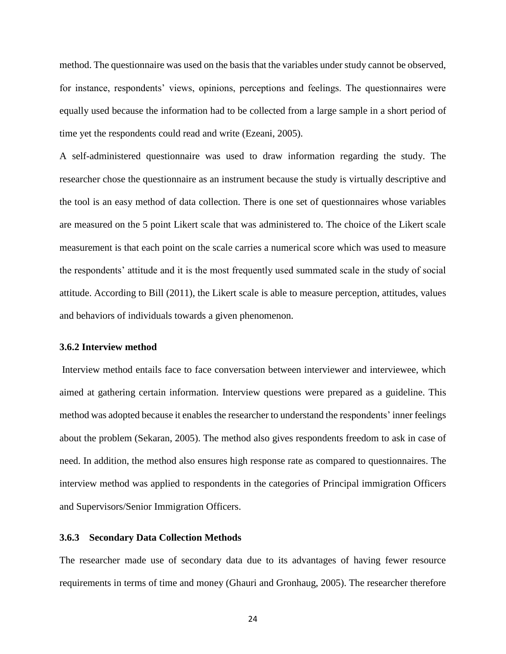method. The questionnaire was used on the basis that the variables under study cannot be observed, for instance, respondents' views, opinions, perceptions and feelings. The questionnaires were equally used because the information had to be collected from a large sample in a short period of time yet the respondents could read and write (Ezeani, 2005).

A self-administered questionnaire was used to draw information regarding the study. The researcher chose the questionnaire as an instrument because the study is virtually descriptive and the tool is an easy method of data collection. There is one set of questionnaires whose variables are measured on the 5 point Likert scale that was administered to. The choice of the Likert scale measurement is that each point on the scale carries a numerical score which was used to measure the respondents' attitude and it is the most frequently used summated scale in the study of social attitude. According to Bill (2011), the Likert scale is able to measure perception, attitudes, values and behaviors of individuals towards a given phenomenon.

#### **3.6.2 Interview method**

Interview method entails face to face conversation between interviewer and interviewee, which aimed at gathering certain information. Interview questions were prepared as a guideline. This method was adopted because it enables the researcher to understand the respondents' inner feelings about the problem (Sekaran, 2005). The method also gives respondents freedom to ask in case of need. In addition, the method also ensures high response rate as compared to questionnaires. The interview method was applied to respondents in the categories of Principal immigration Officers and Supervisors/Senior Immigration Officers.

# **3.6.3 Secondary Data Collection Methods**

The researcher made use of secondary data due to its advantages of having fewer resource requirements in terms of time and money (Ghauri and Gronhaug, 2005). The researcher therefore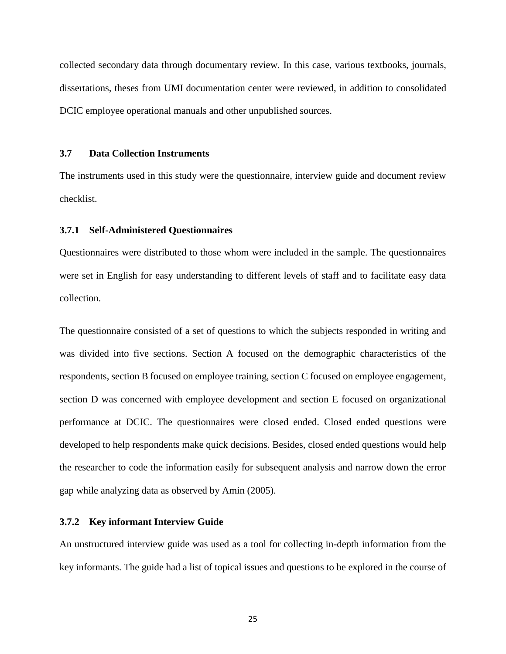collected secondary data through documentary review. In this case, various textbooks, journals, dissertations, theses from UMI documentation center were reviewed, in addition to consolidated DCIC employee operational manuals and other unpublished sources.

#### **3.7 Data Collection Instruments**

The instruments used in this study were the questionnaire, interview guide and document review checklist.

# **3.7.1 Self-Administered Questionnaires**

Questionnaires were distributed to those whom were included in the sample. The questionnaires were set in English for easy understanding to different levels of staff and to facilitate easy data collection.

The questionnaire consisted of a set of questions to which the subjects responded in writing and was divided into five sections. Section A focused on the demographic characteristics of the respondents, section B focused on employee training, section C focused on employee engagement, section D was concerned with employee development and section E focused on organizational performance at DCIC. The questionnaires were closed ended. Closed ended questions were developed to help respondents make quick decisions. Besides, closed ended questions would help the researcher to code the information easily for subsequent analysis and narrow down the error gap while analyzing data as observed by Amin (2005).

# **3.7.2 Key informant Interview Guide**

An unstructured interview guide was used as a tool for collecting in-depth information from the key informants. The guide had a list of topical issues and questions to be explored in the course of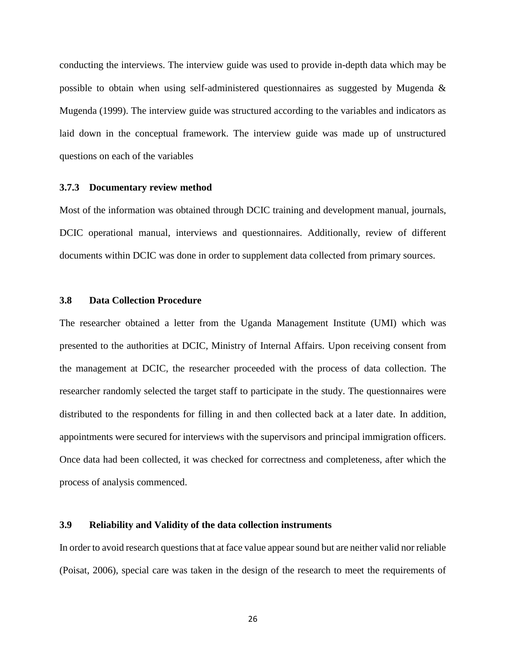conducting the interviews. The interview guide was used to provide in-depth data which may be possible to obtain when using self-administered questionnaires as suggested by Mugenda & Mugenda (1999). The interview guide was structured according to the variables and indicators as laid down in the conceptual framework. The interview guide was made up of unstructured questions on each of the variables

#### **3.7.3 Documentary review method**

Most of the information was obtained through DCIC training and development manual, journals, DCIC operational manual, interviews and questionnaires. Additionally, review of different documents within DCIC was done in order to supplement data collected from primary sources.

# **3.8 Data Collection Procedure**

The researcher obtained a letter from the Uganda Management Institute (UMI) which was presented to the authorities at DCIC, Ministry of Internal Affairs. Upon receiving consent from the management at DCIC, the researcher proceeded with the process of data collection. The researcher randomly selected the target staff to participate in the study. The questionnaires were distributed to the respondents for filling in and then collected back at a later date. In addition, appointments were secured for interviews with the supervisors and principal immigration officers. Once data had been collected, it was checked for correctness and completeness, after which the process of analysis commenced.

# **3.9 Reliability and Validity of the data collection instruments**

In order to avoid research questions that at face value appear sound but are neither valid nor reliable (Poisat, 2006), special care was taken in the design of the research to meet the requirements of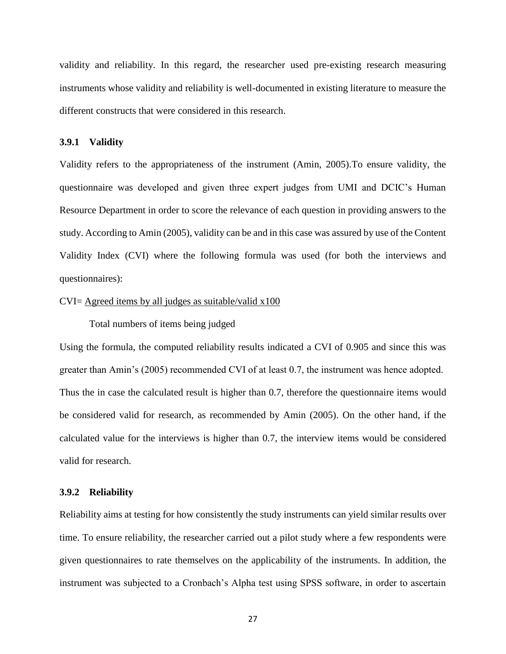validity and reliability. In this regard, the researcher used pre-existing research measuring instruments whose validity and reliability is well-documented in existing literature to measure the different constructs that were considered in this research.

#### **3.9.1 Validity**

Validity refers to the appropriateness of the instrument (Amin, 2005).To ensure validity, the questionnaire was developed and given three expert judges from UMI and DCIC's Human Resource Department in order to score the relevance of each question in providing answers to the study. According to Amin (2005), validity can be and in this case was assured by use of the Content Validity Index (CVI) where the following formula was used (for both the interviews and questionnaires):

# $CVI = \text{Agreed}$  items by all judges as suitable/valid x100

Total numbers of items being judged

Using the formula, the computed reliability results indicated a CVI of 0.905 and since this was greater than Amin's (2005) recommended CVI of at least 0.7, the instrument was hence adopted. Thus the in case the calculated result is higher than 0.7, therefore the questionnaire items would be considered valid for research, as recommended by Amin (2005). On the other hand, if the calculated value for the interviews is higher than 0.7, the interview items would be considered valid for research.

# **3.9.2 Reliability**

Reliability aims at testing for how consistently the study instruments can yield similar results over time. To ensure reliability, the researcher carried out a pilot study where a few respondents were given questionnaires to rate themselves on the applicability of the instruments. In addition, the instrument was subjected to a Cronbach's Alpha test using SPSS software, in order to ascertain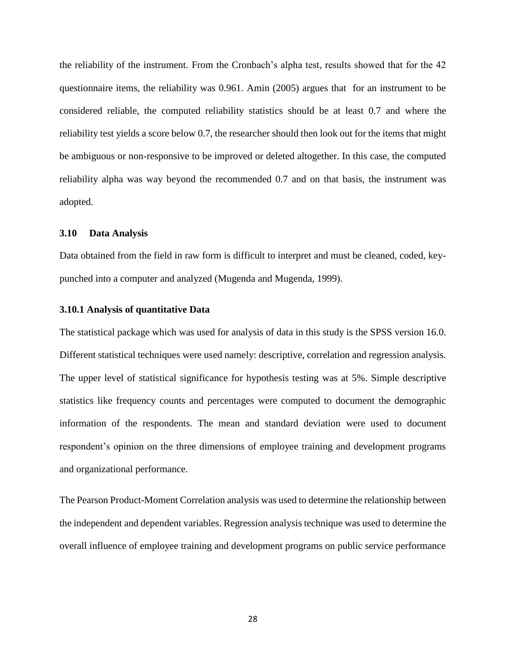the reliability of the instrument. From the Cronbach's alpha test, results showed that for the 42 questionnaire items, the reliability was 0.961. Amin (2005) argues that for an instrument to be considered reliable, the computed reliability statistics should be at least 0.7 and where the reliability test yields a score below 0.7, the researcher should then look out for the items that might be ambiguous or non-responsive to be improved or deleted altogether. In this case, the computed reliability alpha was way beyond the recommended 0.7 and on that basis, the instrument was adopted.

# **3.10 Data Analysis**

Data obtained from the field in raw form is difficult to interpret and must be cleaned, coded, keypunched into a computer and analyzed (Mugenda and Mugenda, 1999).

#### **3.10.1 Analysis of quantitative Data**

The statistical package which was used for analysis of data in this study is the SPSS version 16.0. Different statistical techniques were used namely: descriptive, correlation and regression analysis. The upper level of statistical significance for hypothesis testing was at 5%. Simple descriptive statistics like frequency counts and percentages were computed to document the demographic information of the respondents. The mean and standard deviation were used to document respondent's opinion on the three dimensions of employee training and development programs and organizational performance.

The Pearson Product-Moment Correlation analysis was used to determine the relationship between the independent and dependent variables. Regression analysis technique was used to determine the overall influence of employee training and development programs on public service performance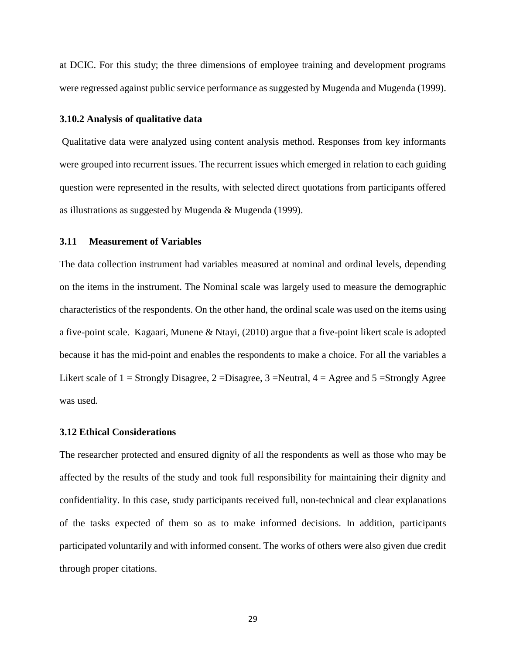at DCIC. For this study; the three dimensions of employee training and development programs were regressed against public service performance as suggested by Mugenda and Mugenda (1999).

# **3.10.2 Analysis of qualitative data**

Qualitative data were analyzed using content analysis method. Responses from key informants were grouped into recurrent issues. The recurrent issues which emerged in relation to each guiding question were represented in the results, with selected direct quotations from participants offered as illustrations as suggested by Mugenda & Mugenda (1999).

# **3.11 Measurement of Variables**

The data collection instrument had variables measured at nominal and ordinal levels, depending on the items in the instrument. The Nominal scale was largely used to measure the demographic characteristics of the respondents. On the other hand, the ordinal scale was used on the items using a five-point scale. Kagaari, Munene & Ntayi, (2010) argue that a five-point likert scale is adopted because it has the mid-point and enables the respondents to make a choice. For all the variables a Likert scale of  $1 =$  Strongly Disagree,  $2 =$ Disagree,  $3 =$ Neutral,  $4 =$  Agree and  $5 =$ Strongly Agree was used.

# **3.12 Ethical Considerations**

The researcher protected and ensured dignity of all the respondents as well as those who may be affected by the results of the study and took full responsibility for maintaining their dignity and confidentiality. In this case, study participants received full, non-technical and clear explanations of the tasks expected of them so as to make informed decisions. In addition, participants participated voluntarily and with informed consent. The works of others were also given due credit through proper citations.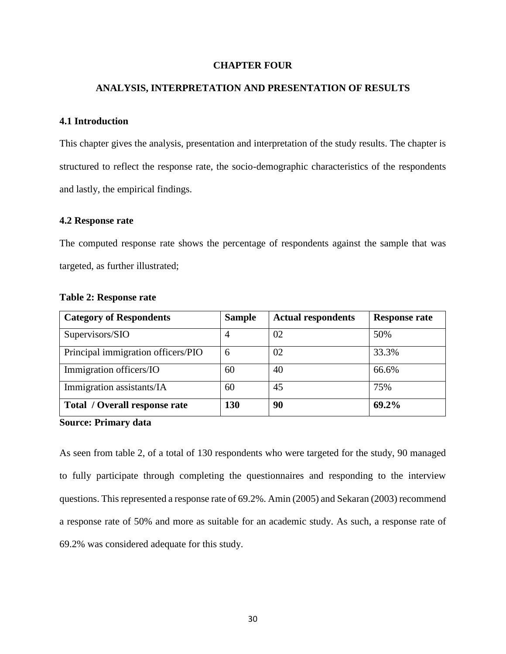# **CHAPTER FOUR**

# **ANALYSIS, INTERPRETATION AND PRESENTATION OF RESULTS**

### **4.1 Introduction**

This chapter gives the analysis, presentation and interpretation of the study results. The chapter is structured to reflect the response rate, the socio-demographic characteristics of the respondents and lastly, the empirical findings.

### **4.2 Response rate**

The computed response rate shows the percentage of respondents against the sample that was targeted, as further illustrated;

| <b>Category of Respondents</b>       | <b>Sample</b>  | <b>Actual respondents</b> | <b>Response rate</b> |
|--------------------------------------|----------------|---------------------------|----------------------|
| Supervisors/SIO                      | $\overline{4}$ | 02                        | 50%                  |
| Principal immigration officers/PIO   | 6              | 02                        | 33.3%                |
| Immigration officers/IO              | 60             | 40                        | 66.6%                |
| Immigration assistants/IA            | 60             | 45                        | 75%                  |
| <b>Total / Overall response rate</b> | 130            | 90                        | 69.2%                |

### **Table 2: Response rate**

**Source: Primary data**

As seen from table 2, of a total of 130 respondents who were targeted for the study, 90 managed to fully participate through completing the questionnaires and responding to the interview questions. This represented a response rate of 69.2%. Amin (2005) and Sekaran (2003) recommend a response rate of 50% and more as suitable for an academic study. As such, a response rate of 69.2% was considered adequate for this study.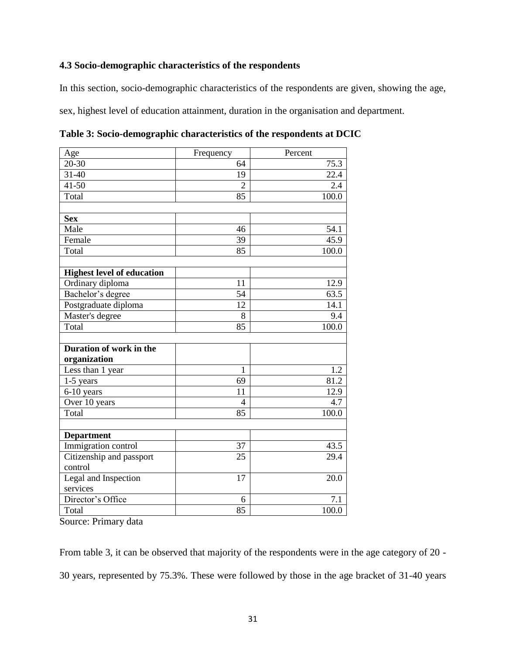# **4.3 Socio-demographic characteristics of the respondents**

In this section, socio-demographic characteristics of the respondents are given, showing the age,

sex, highest level of education attainment, duration in the organisation and department.

| Age                               | Frequency      | Percent |
|-----------------------------------|----------------|---------|
| $20 - 30$                         | 64             | 75.3    |
| 31-40                             | 19             | 22.4    |
| $41 - 50$                         | $\overline{2}$ | 2.4     |
| Total                             | 85             | 100.0   |
|                                   |                |         |
| <b>Sex</b>                        |                |         |
| Male                              | 46             | 54.1    |
| Female                            | 39             | 45.9    |
| Total                             | 85             | 100.0   |
|                                   |                |         |
| <b>Highest level of education</b> |                |         |
| Ordinary diploma                  | 11             | 12.9    |
| Bachelor's degree                 | 54             | 63.5    |
| Postgraduate diploma              | 12             | 14.1    |
| Master's degree                   | 8              | 9.4     |
| Total                             | 85             | 100.0   |
|                                   |                |         |
| Duration of work in the           |                |         |
| organization                      |                |         |
| Less than 1 year                  | 1              | 1.2     |
| 1-5 years                         | 69             | 81.2    |
| 6-10 years                        | 11             | 12.9    |
| Over 10 years                     | $\overline{4}$ | 4.7     |
| Total                             | 85             | 100.0   |
|                                   |                |         |
| <b>Department</b>                 |                |         |
| Immigration control               | 37             | 43.5    |
| Citizenship and passport          | 25             | 29.4    |
| control                           |                |         |
| Legal and Inspection              | 17             | 20.0    |
| services                          |                |         |
| Director's Office                 | 6              | 7.1     |
| Total                             | 85             | 100.0   |

**Table 3: Socio-demographic characteristics of the respondents at DCIC**

Source: Primary data

From table 3, it can be observed that majority of the respondents were in the age category of 20 - 30 years, represented by 75.3%. These were followed by those in the age bracket of 31-40 years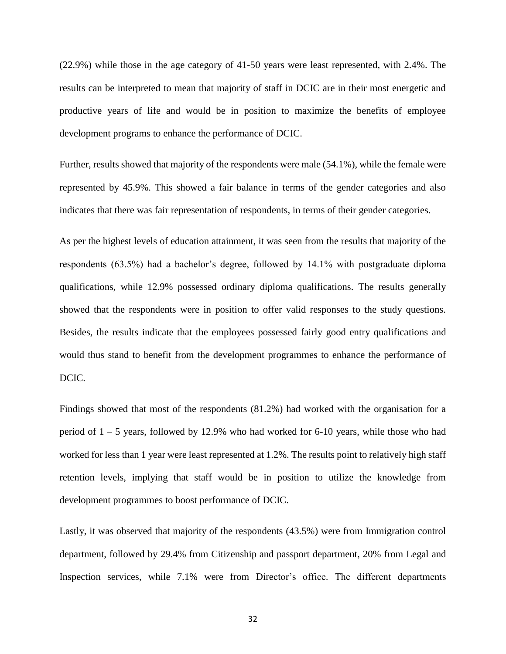(22.9%) while those in the age category of 41-50 years were least represented, with 2.4%. The results can be interpreted to mean that majority of staff in DCIC are in their most energetic and productive years of life and would be in position to maximize the benefits of employee development programs to enhance the performance of DCIC.

Further, results showed that majority of the respondents were male (54.1%), while the female were represented by 45.9%. This showed a fair balance in terms of the gender categories and also indicates that there was fair representation of respondents, in terms of their gender categories.

As per the highest levels of education attainment, it was seen from the results that majority of the respondents (63.5%) had a bachelor's degree, followed by 14.1% with postgraduate diploma qualifications, while 12.9% possessed ordinary diploma qualifications. The results generally showed that the respondents were in position to offer valid responses to the study questions. Besides, the results indicate that the employees possessed fairly good entry qualifications and would thus stand to benefit from the development programmes to enhance the performance of DCIC.

Findings showed that most of the respondents (81.2%) had worked with the organisation for a period of 1 – 5 years, followed by 12.9% who had worked for 6-10 years, while those who had worked for less than 1 year were least represented at 1.2%. The results point to relatively high staff retention levels, implying that staff would be in position to utilize the knowledge from development programmes to boost performance of DCIC.

Lastly, it was observed that majority of the respondents (43.5%) were from Immigration control department, followed by 29.4% from Citizenship and passport department, 20% from Legal and Inspection services, while 7.1% were from Director's office. The different departments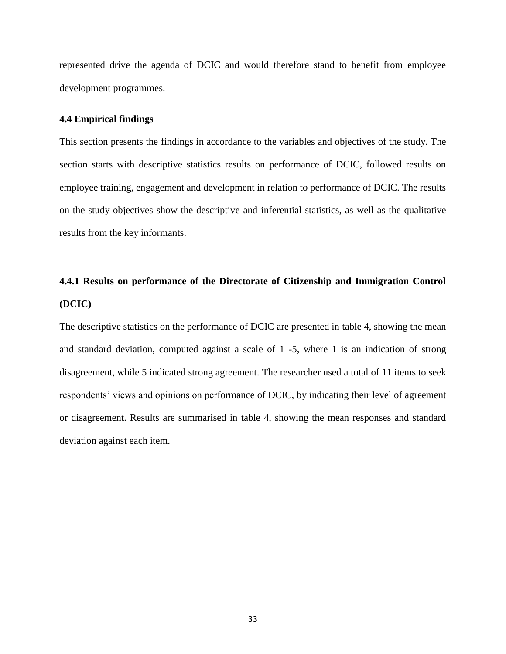represented drive the agenda of DCIC and would therefore stand to benefit from employee development programmes.

# **4.4 Empirical findings**

This section presents the findings in accordance to the variables and objectives of the study. The section starts with descriptive statistics results on performance of DCIC, followed results on employee training, engagement and development in relation to performance of DCIC. The results on the study objectives show the descriptive and inferential statistics, as well as the qualitative results from the key informants.

# **4.4.1 Results on performance of the Directorate of Citizenship and Immigration Control (DCIC)**

The descriptive statistics on the performance of DCIC are presented in table 4, showing the mean and standard deviation, computed against a scale of 1 -5, where 1 is an indication of strong disagreement, while 5 indicated strong agreement. The researcher used a total of 11 items to seek respondents' views and opinions on performance of DCIC, by indicating their level of agreement or disagreement. Results are summarised in table 4, showing the mean responses and standard deviation against each item.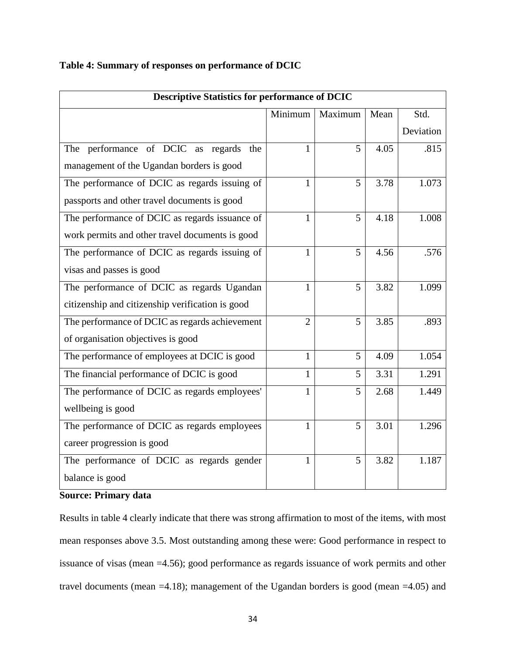| <b>Descriptive Statistics for performance of DCIC</b> |                |                 |      |           |  |  |  |  |
|-------------------------------------------------------|----------------|-----------------|------|-----------|--|--|--|--|
| Minimum<br>Maximum<br>Std.<br>Mean                    |                |                 |      |           |  |  |  |  |
|                                                       |                |                 |      | Deviation |  |  |  |  |
| The performance of DCIC as regards<br>the             | 1              | 5               | 4.05 | .815      |  |  |  |  |
| management of the Ugandan borders is good             |                |                 |      |           |  |  |  |  |
| The performance of DCIC as regards issuing of         | 1              | 5               | 3.78 | 1.073     |  |  |  |  |
| passports and other travel documents is good          |                |                 |      |           |  |  |  |  |
| The performance of DCIC as regards issuance of        | $\mathbf{1}$   | 5               | 4.18 | 1.008     |  |  |  |  |
| work permits and other travel documents is good       |                |                 |      |           |  |  |  |  |
| The performance of DCIC as regards issuing of         | 1              | 5               | 4.56 | .576      |  |  |  |  |
| visas and passes is good                              |                |                 |      |           |  |  |  |  |
| The performance of DCIC as regards Ugandan            | 1              | 5               | 3.82 | 1.099     |  |  |  |  |
| citizenship and citizenship verification is good      |                |                 |      |           |  |  |  |  |
| The performance of DCIC as regards achievement        | $\overline{2}$ | $5\overline{)}$ | 3.85 | .893      |  |  |  |  |
| of organisation objectives is good                    |                |                 |      |           |  |  |  |  |
| The performance of employees at DCIC is good          | 1              | 5               | 4.09 | 1.054     |  |  |  |  |
| The financial performance of DCIC is good             | $\mathbf{1}$   | 5               | 3.31 | 1.291     |  |  |  |  |
| The performance of DCIC as regards employees'         | 1              | 5               | 2.68 | 1.449     |  |  |  |  |
| wellbeing is good                                     |                |                 |      |           |  |  |  |  |
| The performance of DCIC as regards employees          | $\mathbf{1}$   | 5               | 3.01 | 1.296     |  |  |  |  |
| career progression is good                            |                |                 |      |           |  |  |  |  |
| The performance of DCIC as regards gender             | $\mathbf{1}$   | 5               | 3.82 | 1.187     |  |  |  |  |
| balance is good                                       |                |                 |      |           |  |  |  |  |

# **Table 4: Summary of responses on performance of DCIC**

# **Source: Primary data**

Results in table 4 clearly indicate that there was strong affirmation to most of the items, with most mean responses above 3.5. Most outstanding among these were: Good performance in respect to issuance of visas (mean =4.56); good performance as regards issuance of work permits and other travel documents (mean =4.18); management of the Ugandan borders is good (mean =4.05) and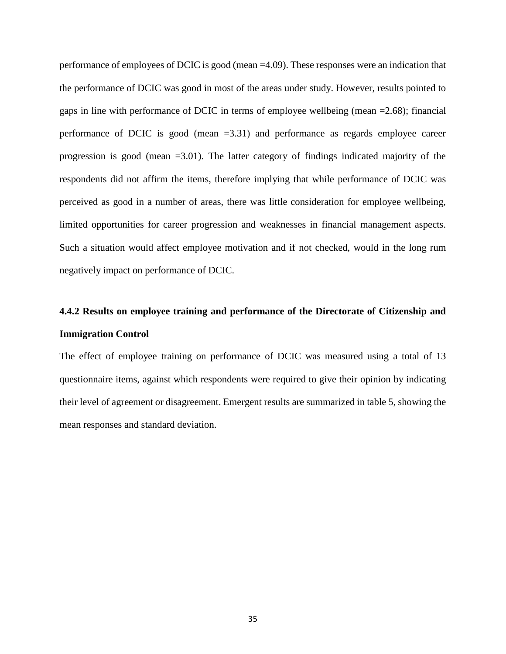performance of employees of DCIC is good (mean =4.09). These responses were an indication that the performance of DCIC was good in most of the areas under study. However, results pointed to gaps in line with performance of DCIC in terms of employee wellbeing (mean =2.68); financial performance of DCIC is good (mean =3.31) and performance as regards employee career progression is good (mean =3.01). The latter category of findings indicated majority of the respondents did not affirm the items, therefore implying that while performance of DCIC was perceived as good in a number of areas, there was little consideration for employee wellbeing, limited opportunities for career progression and weaknesses in financial management aspects. Such a situation would affect employee motivation and if not checked, would in the long rum negatively impact on performance of DCIC.

# **4.4.2 Results on employee training and performance of the Directorate of Citizenship and Immigration Control**

The effect of employee training on performance of DCIC was measured using a total of 13 questionnaire items, against which respondents were required to give their opinion by indicating their level of agreement or disagreement. Emergent results are summarized in table 5, showing the mean responses and standard deviation.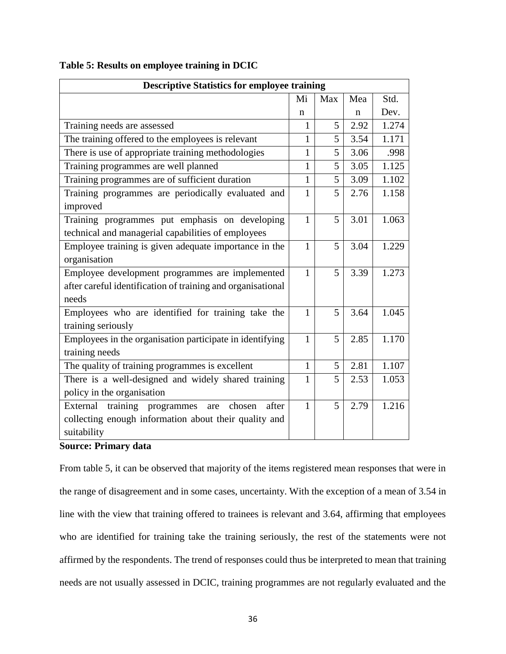| <b>Descriptive Statistics for employee training</b>         |              |                |      |       |  |  |  |
|-------------------------------------------------------------|--------------|----------------|------|-------|--|--|--|
|                                                             | Mi           | Max            | Mea  | Std.  |  |  |  |
|                                                             | n            |                | n    | Dev.  |  |  |  |
| Training needs are assessed                                 | 1            | 5              | 2.92 | 1.274 |  |  |  |
| The training offered to the employees is relevant           | $\mathbf{1}$ | $\overline{5}$ | 3.54 | 1.171 |  |  |  |
| There is use of appropriate training methodologies          | $\mathbf{1}$ | 5              | 3.06 | .998  |  |  |  |
| Training programmes are well planned                        | 1            | 5              | 3.05 | 1.125 |  |  |  |
| Training programmes are of sufficient duration              | $\mathbf{1}$ | 5              | 3.09 | 1.102 |  |  |  |
| Training programmes are periodically evaluated and          | $\mathbf{1}$ | 5              | 2.76 | 1.158 |  |  |  |
| improved                                                    |              |                |      |       |  |  |  |
| Training programmes put emphasis on developing              | $\mathbf{1}$ | 5              | 3.01 | 1.063 |  |  |  |
| technical and managerial capabilities of employees          |              |                |      |       |  |  |  |
| Employee training is given adequate importance in the       | 1            | 5              | 3.04 | 1.229 |  |  |  |
| organisation                                                |              |                |      |       |  |  |  |
| Employee development programmes are implemented             | $\mathbf{1}$ | 5              | 3.39 | 1.273 |  |  |  |
| after careful identification of training and organisational |              |                |      |       |  |  |  |
| needs                                                       |              |                |      |       |  |  |  |
| Employees who are identified for training take the          | 1            | 5              | 3.64 | 1.045 |  |  |  |
| training seriously                                          |              |                |      |       |  |  |  |
| Employees in the organisation participate in identifying    | $\mathbf{1}$ | 5              | 2.85 | 1.170 |  |  |  |
| training needs                                              |              |                |      |       |  |  |  |
| The quality of training programmes is excellent             | $\mathbf{1}$ | 5              | 2.81 | 1.107 |  |  |  |
| There is a well-designed and widely shared training         | $\mathbf{1}$ | 5              | 2.53 | 1.053 |  |  |  |
| policy in the organisation                                  |              |                |      |       |  |  |  |
| External training programmes<br>after<br>chosen<br>are      | $\mathbf{1}$ | 5              | 2.79 | 1.216 |  |  |  |
| collecting enough information about their quality and       |              |                |      |       |  |  |  |
| suitability                                                 |              |                |      |       |  |  |  |

**Table 5: Results on employee training in DCIC**

# **Source: Primary data**

From table 5, it can be observed that majority of the items registered mean responses that were in the range of disagreement and in some cases, uncertainty. With the exception of a mean of 3.54 in line with the view that training offered to trainees is relevant and 3.64, affirming that employees who are identified for training take the training seriously, the rest of the statements were not affirmed by the respondents. The trend of responses could thus be interpreted to mean that training needs are not usually assessed in DCIC, training programmes are not regularly evaluated and the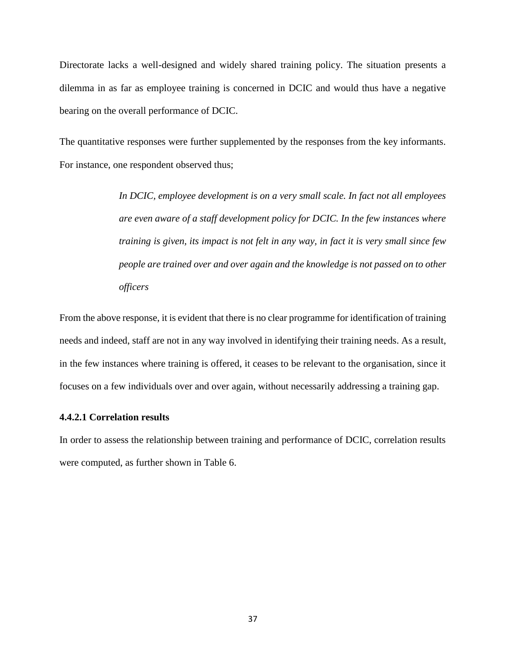Directorate lacks a well-designed and widely shared training policy. The situation presents a dilemma in as far as employee training is concerned in DCIC and would thus have a negative bearing on the overall performance of DCIC.

The quantitative responses were further supplemented by the responses from the key informants. For instance, one respondent observed thus;

> *In DCIC, employee development is on a very small scale. In fact not all employees are even aware of a staff development policy for DCIC. In the few instances where training is given, its impact is not felt in any way, in fact it is very small since few people are trained over and over again and the knowledge is not passed on to other officers*

From the above response, it is evident that there is no clear programme for identification of training needs and indeed, staff are not in any way involved in identifying their training needs. As a result, in the few instances where training is offered, it ceases to be relevant to the organisation, since it focuses on a few individuals over and over again, without necessarily addressing a training gap.

#### **4.4.2.1 Correlation results**

In order to assess the relationship between training and performance of DCIC, correlation results were computed, as further shown in Table 6.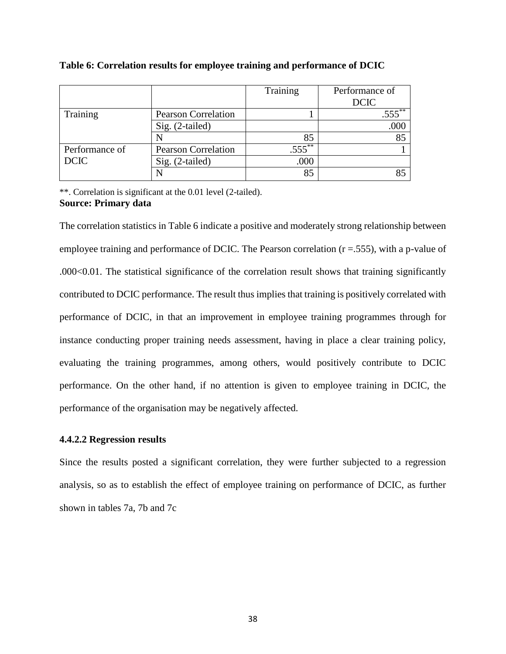|                |                            | Training  | Performance of |
|----------------|----------------------------|-----------|----------------|
|                |                            |           | <b>DCIC</b>    |
| Training       | <b>Pearson Correlation</b> |           |                |
|                | $Sig. (2-tailed)$          |           | .000           |
|                |                            | 85        |                |
| Performance of | <b>Pearson Correlation</b> | $.555***$ |                |
| <b>DCIC</b>    | $Sig. (2-tailed)$          | .000      |                |
|                |                            | 85        |                |

|  |  |  |  |  |  | Table 6: Correlation results for employee training and performance of DCIC |  |
|--|--|--|--|--|--|----------------------------------------------------------------------------|--|
|--|--|--|--|--|--|----------------------------------------------------------------------------|--|

\*\*. Correlation is significant at the 0.01 level (2-tailed). **Source: Primary data**

The correlation statistics in Table 6 indicate a positive and moderately strong relationship between employee training and performance of DCIC. The Pearson correlation  $(r = .555)$ , with a p-value of .000<0.01. The statistical significance of the correlation result shows that training significantly contributed to DCIC performance. The result thus implies that training is positively correlated with performance of DCIC, in that an improvement in employee training programmes through for instance conducting proper training needs assessment, having in place a clear training policy, evaluating the training programmes, among others, would positively contribute to DCIC performance. On the other hand, if no attention is given to employee training in DCIC, the performance of the organisation may be negatively affected.

# **4.4.2.2 Regression results**

Since the results posted a significant correlation, they were further subjected to a regression analysis, so as to establish the effect of employee training on performance of DCIC, as further shown in tables 7a, 7b and 7c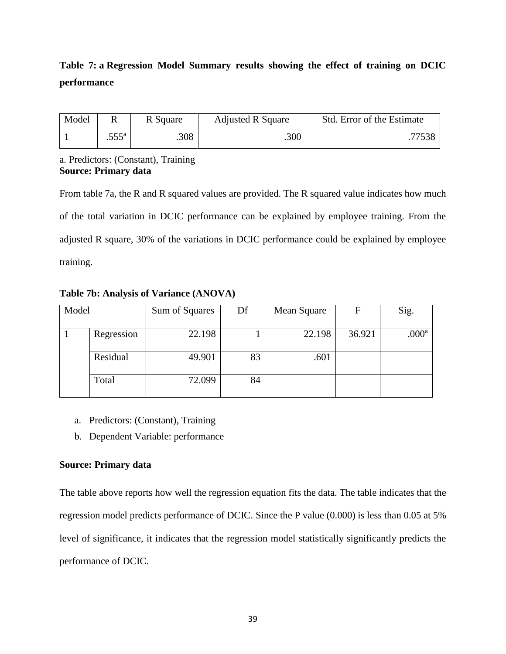# **Table 7: a Regression Model Summary results showing the effect of training on DCIC performance**

| Model |                | R Square | <b>Adjusted R Square</b> | Std. Error of the Estimate |
|-------|----------------|----------|--------------------------|----------------------------|
|       | $.555^{\rm a}$ | .308     | .300                     |                            |

# a. Predictors: (Constant), Training **Source: Primary data**

From table 7a, the R and R squared values are provided. The R squared value indicates how much of the total variation in DCIC performance can be explained by employee training. From the adjusted R square, 30% of the variations in DCIC performance could be explained by employee training.

Model Sum of Squares Df Mean Square F Sig. 1 Regression 22.198 1 22.198 36.921 .000<sup>a</sup> Residual 49.901 83 601 Total 72.099 84

**Table 7b: Analysis of Variance (ANOVA)**

- a. Predictors: (Constant), Training
- b. Dependent Variable: performance

# **Source: Primary data**

The table above reports how well the regression equation fits the data. The table indicates that the regression model predicts performance of DCIC. Since the P value (0.000) is less than 0.05 at 5% level of significance, it indicates that the regression model statistically significantly predicts the performance of DCIC.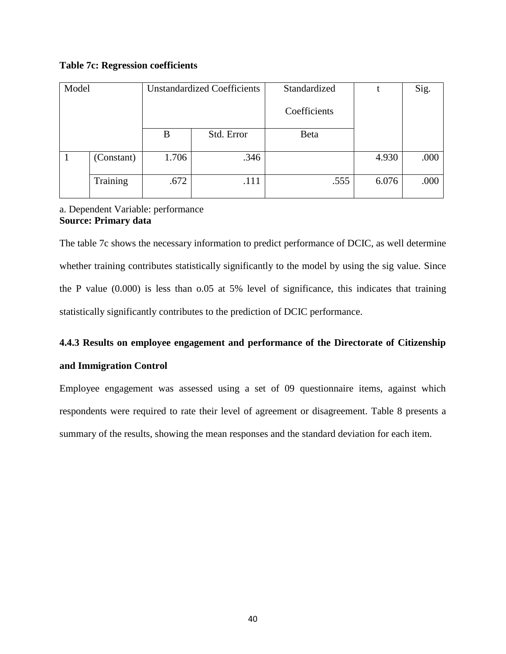# **Table 7c: Regression coefficients**

| Model |            | <b>Unstandardized Coefficients</b> |            | Standardized |       | Sig. |
|-------|------------|------------------------------------|------------|--------------|-------|------|
|       |            |                                    |            | Coefficients |       |      |
|       |            | B                                  | Std. Error | Beta         |       |      |
|       |            |                                    |            |              |       |      |
|       | (Constant) | 1.706                              | .346       |              | 4.930 | .000 |
|       |            |                                    |            |              |       |      |
|       | Training   | .672                               | .111       | .555         | 6.076 | .000 |
|       |            |                                    |            |              |       |      |

# a. Dependent Variable: performance **Source: Primary data**

The table 7c shows the necessary information to predict performance of DCIC, as well determine whether training contributes statistically significantly to the model by using the sig value. Since the P value (0.000) is less than o.05 at 5% level of significance, this indicates that training statistically significantly contributes to the prediction of DCIC performance.

# **4.4.3 Results on employee engagement and performance of the Directorate of Citizenship**

# **and Immigration Control**

Employee engagement was assessed using a set of 09 questionnaire items, against which respondents were required to rate their level of agreement or disagreement. Table 8 presents a summary of the results, showing the mean responses and the standard deviation for each item.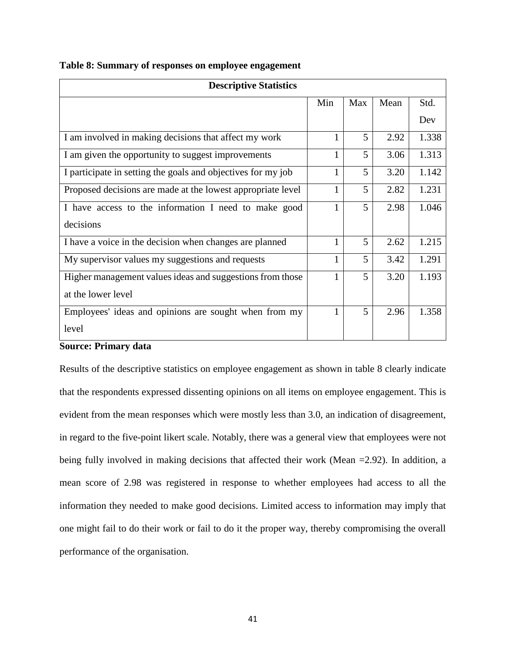| <b>Descriptive Statistics</b>                                |              |     |      |       |  |  |
|--------------------------------------------------------------|--------------|-----|------|-------|--|--|
|                                                              | Min          | Max | Mean | Std.  |  |  |
|                                                              |              |     |      | Dev   |  |  |
| I am involved in making decisions that affect my work        |              | 5   | 2.92 | 1.338 |  |  |
| I am given the opportunity to suggest improvements           | $\mathbf{1}$ | 5   | 3.06 | 1.313 |  |  |
| I participate in setting the goals and objectives for my job | 1            | 5   | 3.20 | 1.142 |  |  |
| Proposed decisions are made at the lowest appropriate level  | 1            | 5   | 2.82 | 1.231 |  |  |
| I have access to the information I need to make good         |              | 5   | 2.98 | 1.046 |  |  |
| decisions                                                    |              |     |      |       |  |  |
| I have a voice in the decision when changes are planned      |              | 5   | 2.62 | 1.215 |  |  |
| My supervisor values my suggestions and requests             | 1            | 5   | 3.42 | 1.291 |  |  |
| Higher management values ideas and suggestions from those    |              | 5   | 3.20 | 1.193 |  |  |
| at the lower level                                           |              |     |      |       |  |  |
| Employees' ideas and opinions are sought when from my        |              | 5   | 2.96 | 1.358 |  |  |
| level                                                        |              |     |      |       |  |  |

**Table 8: Summary of responses on employee engagement**

# **Source: Primary data**

Results of the descriptive statistics on employee engagement as shown in table 8 clearly indicate that the respondents expressed dissenting opinions on all items on employee engagement. This is evident from the mean responses which were mostly less than 3.0, an indication of disagreement, in regard to the five-point likert scale. Notably, there was a general view that employees were not being fully involved in making decisions that affected their work (Mean =2.92). In addition, a mean score of 2.98 was registered in response to whether employees had access to all the information they needed to make good decisions. Limited access to information may imply that one might fail to do their work or fail to do it the proper way, thereby compromising the overall performance of the organisation.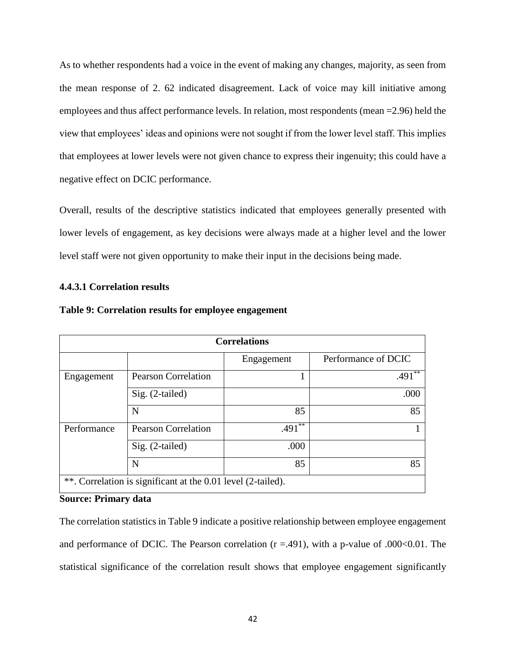As to whether respondents had a voice in the event of making any changes, majority, as seen from the mean response of 2. 62 indicated disagreement. Lack of voice may kill initiative among employees and thus affect performance levels. In relation, most respondents (mean =2.96) held the view that employees' ideas and opinions were not sought if from the lower level staff. This implies that employees at lower levels were not given chance to express their ingenuity; this could have a negative effect on DCIC performance.

Overall, results of the descriptive statistics indicated that employees generally presented with lower levels of engagement, as key decisions were always made at a higher level and the lower level staff were not given opportunity to make their input in the decisions being made.

# **4.4.3.1 Correlation results**

| <b>Correlations</b> |                                                              |                      |                      |  |  |  |  |
|---------------------|--------------------------------------------------------------|----------------------|----------------------|--|--|--|--|
|                     |                                                              | Engagement           | Performance of DCIC  |  |  |  |  |
| Engagement          | <b>Pearson Correlation</b>                                   |                      | $.491$ <sup>**</sup> |  |  |  |  |
|                     | $Sig. (2-tailed)$                                            |                      | .000                 |  |  |  |  |
|                     | N                                                            | 85                   | 85                   |  |  |  |  |
| Performance         | <b>Pearson Correlation</b>                                   | $.491$ <sup>**</sup> |                      |  |  |  |  |
|                     | $Sig. (2-tailed)$                                            | .000                 |                      |  |  |  |  |
| N<br>85<br>85       |                                                              |                      |                      |  |  |  |  |
|                     | **. Correlation is significant at the 0.01 level (2-tailed). |                      |                      |  |  |  |  |

# **Table 9: Correlation results for employee engagement**

# **Source: Primary data**

The correlation statistics in Table 9 indicate a positive relationship between employee engagement and performance of DCIC. The Pearson correlation  $(r = .491)$ , with a p-value of .000<0.01. The statistical significance of the correlation result shows that employee engagement significantly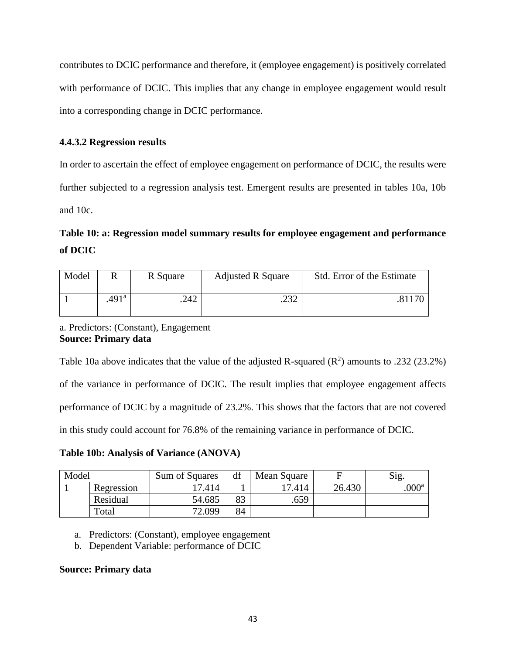contributes to DCIC performance and therefore, it (employee engagement) is positively correlated with performance of DCIC. This implies that any change in employee engagement would result into a corresponding change in DCIC performance.

# **4.4.3.2 Regression results**

In order to ascertain the effect of employee engagement on performance of DCIC, the results were further subjected to a regression analysis test. Emergent results are presented in tables 10a, 10b and 10c.

# **Table 10: a: Regression model summary results for employee engagement and performance of DCIC**

| Model |                   | R Square | <b>Adjusted R Square</b> | Std. Error of the Estimate |
|-------|-------------------|----------|--------------------------|----------------------------|
|       | .491 <sup>a</sup> | .242     | າາາ<br>ے ر∠.             |                            |

a. Predictors: (Constant), Engagement **Source: Primary data**

Table 10a above indicates that the value of the adjusted R-squared  $(R^2)$  amounts to .232 (23.2%) of the variance in performance of DCIC. The result implies that employee engagement affects performance of DCIC by a magnitude of 23.2%. This shows that the factors that are not covered in this study could account for 76.8% of the remaining variance in performance of DCIC.

**Table 10b: Analysis of Variance (ANOVA)**

| Model |                        | Sum of Squares | df | Mean Square |        | Sig.              |
|-------|------------------------|----------------|----|-------------|--------|-------------------|
|       | Regression             | 17.414         |    | 17.414      | 26.430 | .000 <sup>a</sup> |
|       | Residual               | 54.685         | 83 | .659        |        |                   |
|       | $\tau$ <sub>otal</sub> | 72.099         | 84 |             |        |                   |

- a. Predictors: (Constant), employee engagement
- b. Dependent Variable: performance of DCIC

# **Source: Primary data**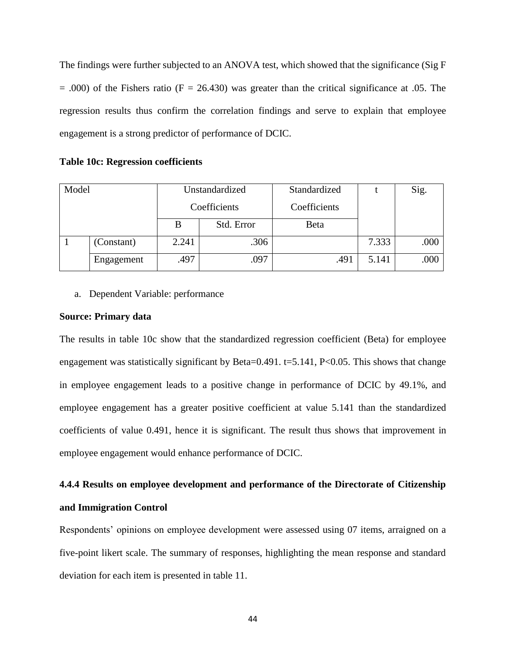The findings were further subjected to an ANOVA test, which showed that the significance (Sig F  $= .000$ ) of the Fishers ratio (F  $= 26.430$ ) was greater than the critical significance at .05. The regression results thus confirm the correlation findings and serve to explain that employee engagement is a strong predictor of performance of DCIC.

|  | <b>Table 10c: Regression coefficients</b> |  |
|--|-------------------------------------------|--|
|  |                                           |  |

| Model |            | Unstandardized |            | Standardized |       | Sig. |
|-------|------------|----------------|------------|--------------|-------|------|
|       |            | Coefficients   |            | Coefficients |       |      |
|       |            | B              | Std. Error | Beta         |       |      |
|       | (Constant) | 2.241          | .306       |              | 7.333 | .000 |
|       | Engagement | .497           | .097       | .491         | 5.141 | .000 |

a. Dependent Variable: performance

### **Source: Primary data**

The results in table 10c show that the standardized regression coefficient (Beta) for employee engagement was statistically significant by Beta=0.491. t=5.141,  $P<0.05$ . This shows that change in employee engagement leads to a positive change in performance of DCIC by 49.1%, and employee engagement has a greater positive coefficient at value 5.141 than the standardized coefficients of value 0.491, hence it is significant. The result thus shows that improvement in employee engagement would enhance performance of DCIC.

# **4.4.4 Results on employee development and performance of the Directorate of Citizenship and Immigration Control**

Respondents' opinions on employee development were assessed using 07 items, arraigned on a five-point likert scale. The summary of responses, highlighting the mean response and standard deviation for each item is presented in table 11.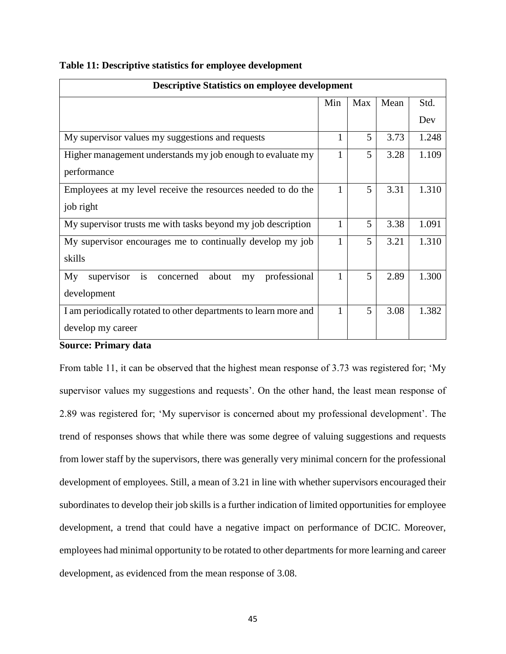| <b>Descriptive Statistics on employee development</b>              |              |     |      |       |  |  |  |
|--------------------------------------------------------------------|--------------|-----|------|-------|--|--|--|
|                                                                    | Min          | Max | Mean | Std.  |  |  |  |
|                                                                    |              |     |      | Dev   |  |  |  |
| My supervisor values my suggestions and requests                   | $\mathbf{1}$ | 5   | 3.73 | 1.248 |  |  |  |
| Higher management understands my job enough to evaluate my         | $\mathbf{1}$ | 5   | 3.28 | 1.109 |  |  |  |
| performance                                                        |              |     |      |       |  |  |  |
| Employees at my level receive the resources needed to do the       | 1            | 5   | 3.31 | 1.310 |  |  |  |
| job right                                                          |              |     |      |       |  |  |  |
| My supervisor trusts me with tasks beyond my job description       | $\mathbf{1}$ | 5   | 3.38 | 1.091 |  |  |  |
| My supervisor encourages me to continually develop my job          | $\mathbf{1}$ | 5   | 3.21 | 1.310 |  |  |  |
| skills                                                             |              |     |      |       |  |  |  |
| is<br>supervisor<br>professional<br>My<br>about<br>concerned<br>my | 1            | 5   | 2.89 | 1.300 |  |  |  |
| development                                                        |              |     |      |       |  |  |  |
| I am periodically rotated to other departments to learn more and   | 1            | 5   | 3.08 | 1.382 |  |  |  |
| develop my career                                                  |              |     |      |       |  |  |  |

**Table 11: Descriptive statistics for employee development**

# **Source: Primary data**

From table 11, it can be observed that the highest mean response of 3.73 was registered for; 'My supervisor values my suggestions and requests'. On the other hand, the least mean response of 2.89 was registered for; 'My supervisor is concerned about my professional development'. The trend of responses shows that while there was some degree of valuing suggestions and requests from lower staff by the supervisors, there was generally very minimal concern for the professional development of employees. Still, a mean of 3.21 in line with whether supervisors encouraged their subordinates to develop their job skills is a further indication of limited opportunities for employee development, a trend that could have a negative impact on performance of DCIC. Moreover, employees had minimal opportunity to be rotated to other departments for more learning and career development, as evidenced from the mean response of 3.08.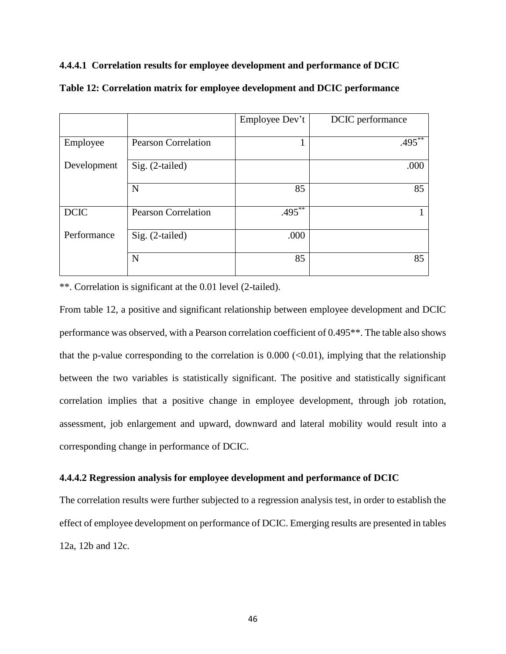# **4.4.4.1 Correlation results for employee development and performance of DCIC**

|             |                            | Employee Dev't | DCIC performance |
|-------------|----------------------------|----------------|------------------|
|             |                            |                |                  |
| Employee    | <b>Pearson Correlation</b> |                | $.495***$        |
|             |                            |                |                  |
| Development | $Sig. (2-tailed)$          |                | .000             |
|             |                            |                |                  |
|             | N                          | 85             | 85               |
|             |                            |                |                  |
| <b>DCIC</b> | <b>Pearson Correlation</b> | $.495***$      |                  |
|             |                            |                |                  |
| Performance | Sig. (2-tailed)            | .000           |                  |
|             |                            |                |                  |
|             | N                          | 85             | 85               |
|             |                            |                |                  |

**Table 12: Correlation matrix for employee development and DCIC performance**

\*\*. Correlation is significant at the 0.01 level (2-tailed).

From table 12, a positive and significant relationship between employee development and DCIC performance was observed, with a Pearson correlation coefficient of 0.495\*\*. The table also shows that the p-value corresponding to the correlation is  $0.000 \, \text{(<)} 0.01$ ), implying that the relationship between the two variables is statistically significant. The positive and statistically significant correlation implies that a positive change in employee development, through job rotation, assessment, job enlargement and upward, downward and lateral mobility would result into a corresponding change in performance of DCIC.

# **4.4.4.2 Regression analysis for employee development and performance of DCIC**

The correlation results were further subjected to a regression analysis test, in order to establish the effect of employee development on performance of DCIC. Emerging results are presented in tables 12a, 12b and 12c.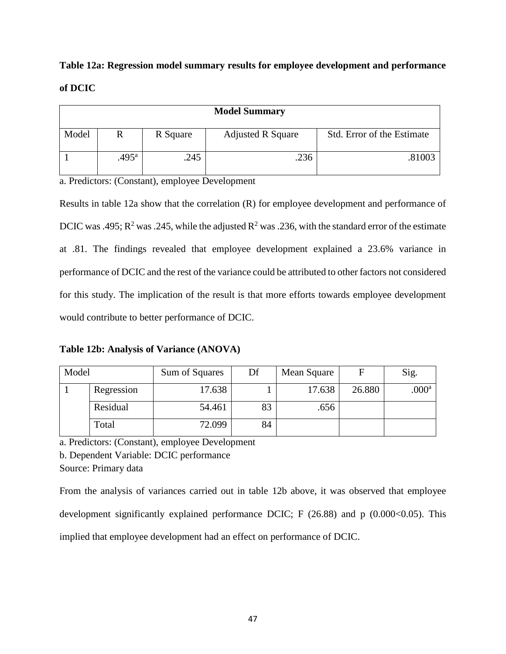# **Table 12a: Regression model summary results for employee development and performance of DCIC**

| <b>Model Summary</b> |                |          |                          |                            |  |  |
|----------------------|----------------|----------|--------------------------|----------------------------|--|--|
| Model                |                | R Square | <b>Adjusted R Square</b> | Std. Error of the Estimate |  |  |
|                      | $.495^{\rm a}$ | .245     | .236                     | .81003                     |  |  |

a. Predictors: (Constant), employee Development

Results in table 12a show that the correlation (R) for employee development and performance of DCIC was .495; R<sup>2</sup> was .245, while the adjusted R<sup>2</sup> was .236, with the standard error of the estimate at .81. The findings revealed that employee development explained a 23.6% variance in performance of DCIC and the rest of the variance could be attributed to other factors not considered for this study. The implication of the result is that more efforts towards employee development would contribute to better performance of DCIC.

**Table 12b: Analysis of Variance (ANOVA)**

| Model |            | Sum of Squares | Df | Mean Square | F      | Sig.          |
|-------|------------|----------------|----|-------------|--------|---------------|
|       | Regression | 17.638         |    | 17.638      | 26.880 | $000^{\rm a}$ |
|       | Residual   | 54.461         | 83 | .656        |        |               |
|       | Total      | 72.099         | 84 |             |        |               |

a. Predictors: (Constant), employee Development

b. Dependent Variable: DCIC performance

Source: Primary data

From the analysis of variances carried out in table 12b above, it was observed that employee development significantly explained performance DCIC; F  $(26.88)$  and p  $(0.000<0.05)$ . This implied that employee development had an effect on performance of DCIC.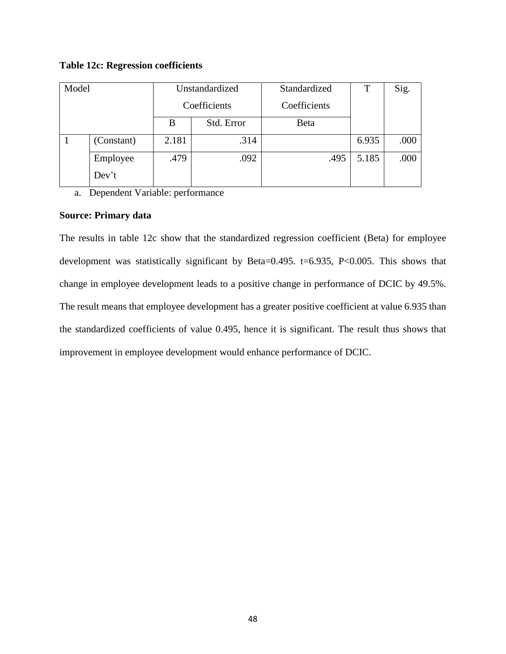# **Table 12c: Regression coefficients**

| Model |            | Unstandardized |            | Standardized | T     | Sig. |
|-------|------------|----------------|------------|--------------|-------|------|
|       |            | Coefficients   |            | Coefficients |       |      |
|       |            | B              | Std. Error | Beta         |       |      |
|       | (Constant) | 2.181          | .314       |              | 6.935 | .000 |
|       | Employee   | .479           | .092       | .495         | 5.185 | .000 |
|       | Dev't      |                |            |              |       |      |

a. Dependent Variable: performance

# **Source: Primary data**

The results in table 12c show that the standardized regression coefficient (Beta) for employee development was statistically significant by Beta=0.495. t=6.935, P<0.005. This shows that change in employee development leads to a positive change in performance of DCIC by 49.5%. The result means that employee development has a greater positive coefficient at value 6.935 than the standardized coefficients of value 0.495, hence it is significant. The result thus shows that improvement in employee development would enhance performance of DCIC.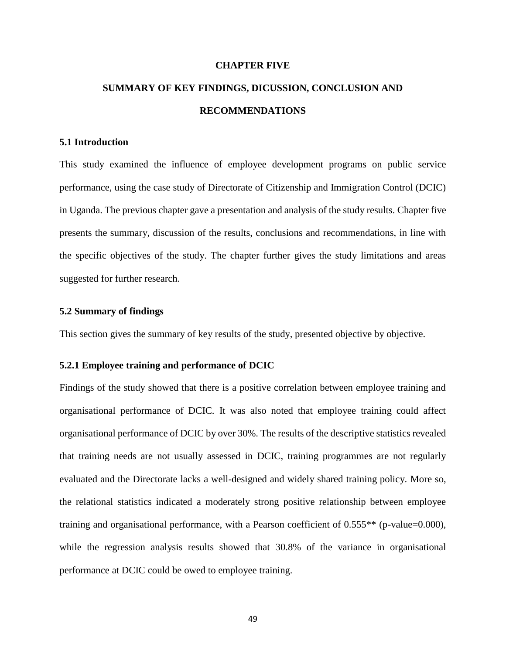#### **CHAPTER FIVE**

# **SUMMARY OF KEY FINDINGS, DICUSSION, CONCLUSION AND RECOMMENDATIONS**

### **5.1 Introduction**

This study examined the influence of employee development programs on public service performance, using the case study of Directorate of Citizenship and Immigration Control (DCIC) in Uganda. The previous chapter gave a presentation and analysis of the study results. Chapter five presents the summary, discussion of the results, conclusions and recommendations, in line with the specific objectives of the study. The chapter further gives the study limitations and areas suggested for further research.

### **5.2 Summary of findings**

This section gives the summary of key results of the study, presented objective by objective.

# **5.2.1 Employee training and performance of DCIC**

Findings of the study showed that there is a positive correlation between employee training and organisational performance of DCIC. It was also noted that employee training could affect organisational performance of DCIC by over 30%. The results of the descriptive statistics revealed that training needs are not usually assessed in DCIC, training programmes are not regularly evaluated and the Directorate lacks a well-designed and widely shared training policy. More so, the relational statistics indicated a moderately strong positive relationship between employee training and organisational performance, with a Pearson coefficient of 0.555\*\* (p-value=0.000), while the regression analysis results showed that 30.8% of the variance in organisational performance at DCIC could be owed to employee training.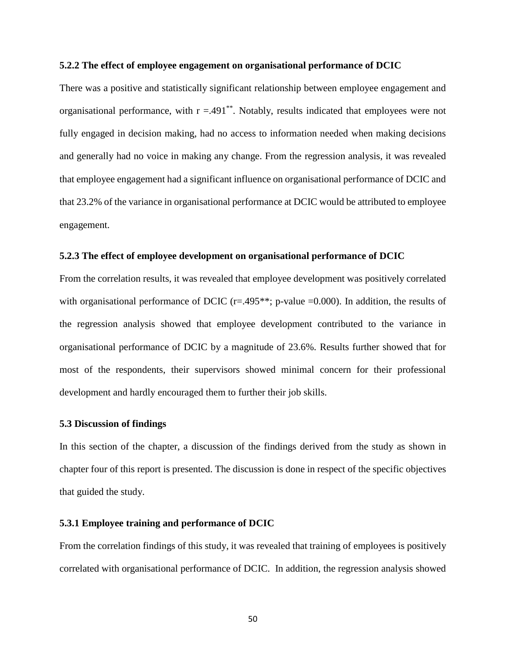#### **5.2.2 The effect of employee engagement on organisational performance of DCIC**

There was a positive and statistically significant relationship between employee engagement and organisational performance, with  $r = .491$ <sup>\*\*</sup>. Notably, results indicated that employees were not fully engaged in decision making, had no access to information needed when making decisions and generally had no voice in making any change. From the regression analysis, it was revealed that employee engagement had a significant influence on organisational performance of DCIC and that 23.2% of the variance in organisational performance at DCIC would be attributed to employee engagement.

# **5.2.3 The effect of employee development on organisational performance of DCIC**

From the correlation results, it was revealed that employee development was positively correlated with organisational performance of DCIC ( $r=495**$ ; p-value  $=0.000$ ). In addition, the results of the regression analysis showed that employee development contributed to the variance in organisational performance of DCIC by a magnitude of 23.6%. Results further showed that for most of the respondents, their supervisors showed minimal concern for their professional development and hardly encouraged them to further their job skills.

#### **5.3 Discussion of findings**

In this section of the chapter, a discussion of the findings derived from the study as shown in chapter four of this report is presented. The discussion is done in respect of the specific objectives that guided the study.

# **5.3.1 Employee training and performance of DCIC**

From the correlation findings of this study, it was revealed that training of employees is positively correlated with organisational performance of DCIC. In addition, the regression analysis showed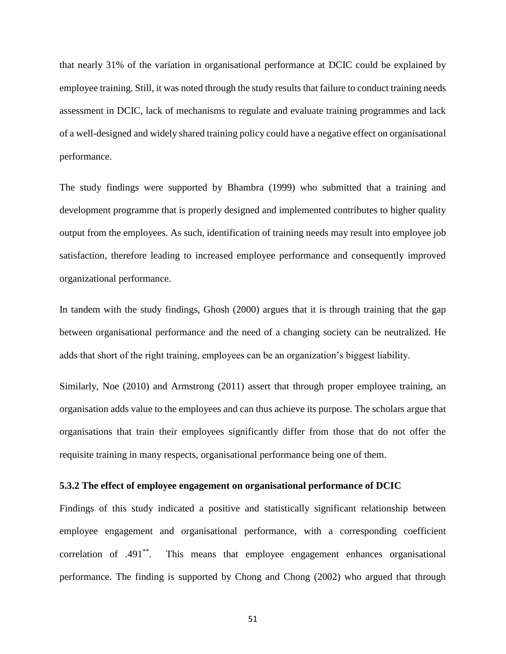that nearly 31% of the variation in organisational performance at DCIC could be explained by employee training. Still, it was noted through the study results that failure to conduct training needs assessment in DCIC, lack of mechanisms to regulate and evaluate training programmes and lack of a well-designed and widely shared training policy could have a negative effect on organisational performance.

The study findings were supported by Bhambra (1999) who submitted that a training and development programme that is properly designed and implemented contributes to higher quality output from the employees. As such, identification of training needs may result into employee job satisfaction, therefore leading to increased employee performance and consequently improved organizational performance.

In tandem with the study findings, Ghosh (2000) argues that it is through training that the gap between organisational performance and the need of a changing society can be neutralized. He adds that short of the right training, employees can be an organization's biggest liability.

Similarly, Noe (2010) and Armstrong (2011) assert that through proper employee training, an organisation adds value to the employees and can thus achieve its purpose. The scholars argue that organisations that train their employees significantly differ from those that do not offer the requisite training in many respects, organisational performance being one of them.

### **5.3.2 The effect of employee engagement on organisational performance of DCIC**

Findings of this study indicated a positive and statistically significant relationship between employee engagement and organisational performance, with a corresponding coefficient correlation of .491\*\*. This means that employee engagement enhances organisational performance. The finding is supported by Chong and Chong (2002) who argued that through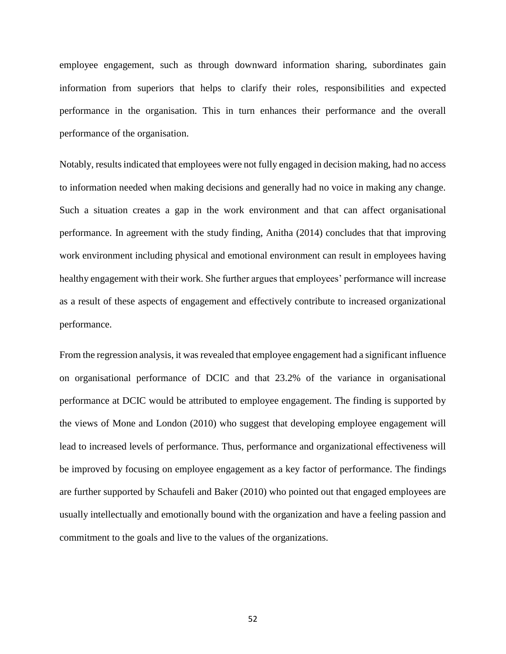employee engagement, such as through downward information sharing, subordinates gain information from superiors that helps to clarify their roles, responsibilities and expected performance in the organisation. This in turn enhances their performance and the overall performance of the organisation.

Notably, results indicated that employees were not fully engaged in decision making, had no access to information needed when making decisions and generally had no voice in making any change. Such a situation creates a gap in the work environment and that can affect organisational performance. In agreement with the study finding, Anitha (2014) concludes that that improving work environment including physical and emotional environment can result in employees having healthy engagement with their work. She further argues that employees' performance will increase as a result of these aspects of engagement and effectively contribute to increased organizational performance.

From the regression analysis, it was revealed that employee engagement had a significant influence on organisational performance of DCIC and that 23.2% of the variance in organisational performance at DCIC would be attributed to employee engagement. The finding is supported by the views of Mone and London (2010) who suggest that developing employee engagement will lead to increased levels of performance. Thus, performance and organizational effectiveness will be improved by focusing on employee engagement as a key factor of performance. The findings are further supported by Schaufeli and Baker (2010) who pointed out that engaged employees are usually intellectually and emotionally bound with the organization and have a feeling passion and commitment to the goals and live to the values of the organizations.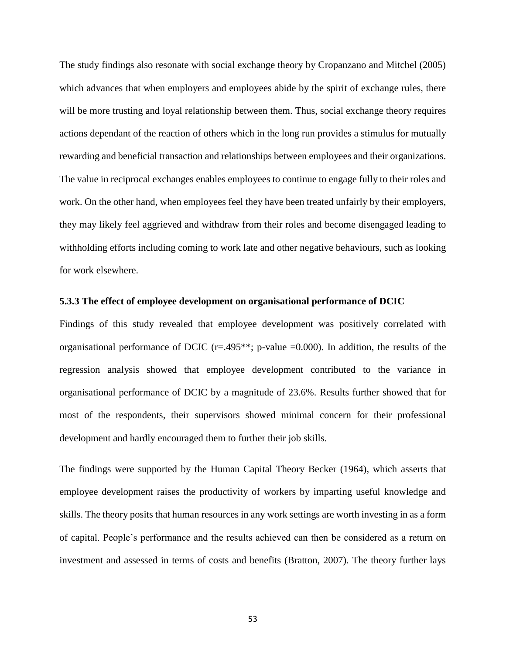The study findings also resonate with social exchange theory by Cropanzano and Mitchel (2005) which advances that when employers and employees abide by the spirit of exchange rules, there will be more trusting and loyal relationship between them. Thus, social exchange theory requires actions dependant of the reaction of others which in the long run provides a stimulus for mutually rewarding and beneficial transaction and relationships between employees and their organizations. The value in reciprocal exchanges enables employees to continue to engage fully to their roles and work. On the other hand, when employees feel they have been treated unfairly by their employers, they may likely feel aggrieved and withdraw from their roles and become disengaged leading to withholding efforts including coming to work late and other negative behaviours, such as looking for work elsewhere.

### **5.3.3 The effect of employee development on organisational performance of DCIC**

Findings of this study revealed that employee development was positively correlated with organisational performance of DCIC ( $r=495**$ ; p-value  $=0.000$ ). In addition, the results of the regression analysis showed that employee development contributed to the variance in organisational performance of DCIC by a magnitude of 23.6%. Results further showed that for most of the respondents, their supervisors showed minimal concern for their professional development and hardly encouraged them to further their job skills.

The findings were supported by the Human Capital Theory Becker (1964), which asserts that employee development raises the productivity of workers by imparting useful knowledge and skills. The theory posits that human resources in any work settings are worth investing in as a form of capital. People's performance and the results achieved can then be considered as a return on investment and assessed in terms of costs and benefits (Bratton, 2007). The theory further lays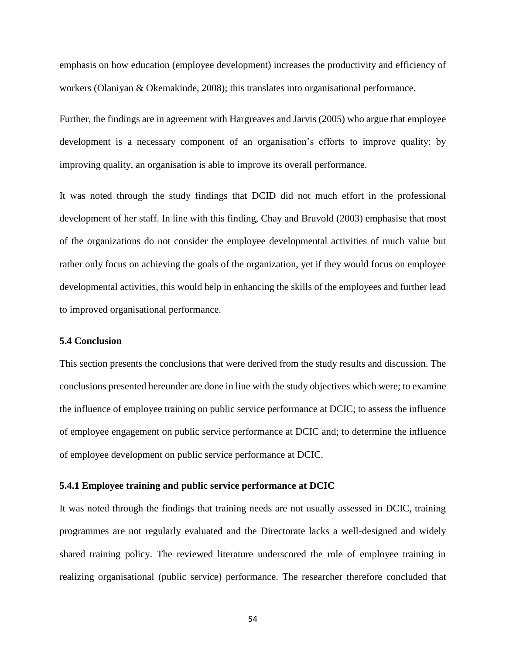emphasis on how education (employee development) increases the productivity and efficiency of workers (Olaniyan & Okemakinde, 2008); this translates into organisational performance.

Further, the findings are in agreement with Hargreaves and Jarvis (2005) who argue that employee development is a necessary component of an organisation's efforts to improve quality; by improving quality, an organisation is able to improve its overall performance.

It was noted through the study findings that DCID did not much effort in the professional development of her staff. In line with this finding, Chay and Bruvold (2003) emphasise that most of the organizations do not consider the employee developmental activities of much value but rather only focus on achieving the goals of the organization, yet if they would focus on employee developmental activities, this would help in enhancing the skills of the employees and further lead to improved organisational performance.

# **5.4 Conclusion**

This section presents the conclusions that were derived from the study results and discussion. The conclusions presented hereunder are done in line with the study objectives which were; to examine the influence of employee training on public service performance at DCIC; to assess the influence of employee engagement on public service performance at DCIC and; to determine the influence of employee development on public service performance at DCIC.

### **5.4.1 Employee training and public service performance at DCIC**

It was noted through the findings that training needs are not usually assessed in DCIC, training programmes are not regularly evaluated and the Directorate lacks a well-designed and widely shared training policy. The reviewed literature underscored the role of employee training in realizing organisational (public service) performance. The researcher therefore concluded that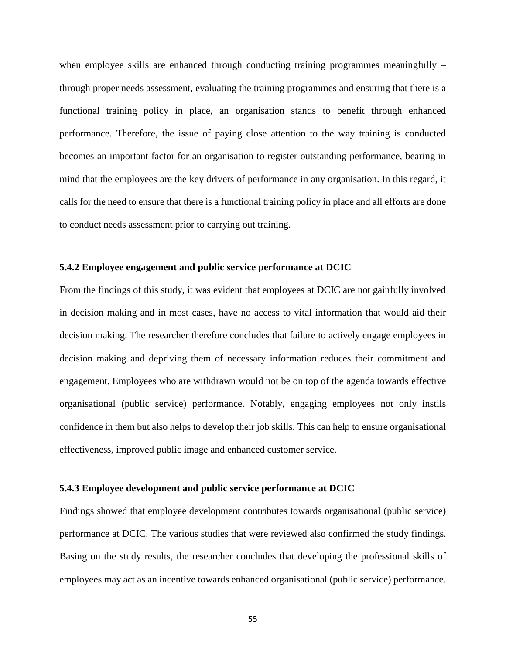when employee skills are enhanced through conducting training programmes meaningfully – through proper needs assessment, evaluating the training programmes and ensuring that there is a functional training policy in place, an organisation stands to benefit through enhanced performance. Therefore, the issue of paying close attention to the way training is conducted becomes an important factor for an organisation to register outstanding performance, bearing in mind that the employees are the key drivers of performance in any organisation. In this regard, it calls for the need to ensure that there is a functional training policy in place and all efforts are done to conduct needs assessment prior to carrying out training.

# **5.4.2 Employee engagement and public service performance at DCIC**

From the findings of this study, it was evident that employees at DCIC are not gainfully involved in decision making and in most cases, have no access to vital information that would aid their decision making. The researcher therefore concludes that failure to actively engage employees in decision making and depriving them of necessary information reduces their commitment and engagement. Employees who are withdrawn would not be on top of the agenda towards effective organisational (public service) performance. Notably, engaging employees not only instils confidence in them but also helps to develop their job skills. This can help to ensure organisational effectiveness, improved public image and enhanced customer service.

# **5.4.3 Employee development and public service performance at DCIC**

Findings showed that employee development contributes towards organisational (public service) performance at DCIC. The various studies that were reviewed also confirmed the study findings. Basing on the study results, the researcher concludes that developing the professional skills of employees may act as an incentive towards enhanced organisational (public service) performance.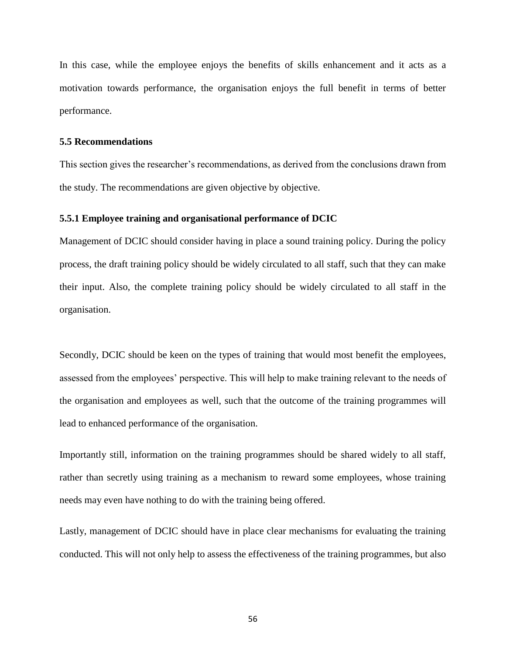In this case, while the employee enjoys the benefits of skills enhancement and it acts as a motivation towards performance, the organisation enjoys the full benefit in terms of better performance.

#### **5.5 Recommendations**

This section gives the researcher's recommendations, as derived from the conclusions drawn from the study. The recommendations are given objective by objective.

### **5.5.1 Employee training and organisational performance of DCIC**

Management of DCIC should consider having in place a sound training policy. During the policy process, the draft training policy should be widely circulated to all staff, such that they can make their input. Also, the complete training policy should be widely circulated to all staff in the organisation.

Secondly, DCIC should be keen on the types of training that would most benefit the employees, assessed from the employees' perspective. This will help to make training relevant to the needs of the organisation and employees as well, such that the outcome of the training programmes will lead to enhanced performance of the organisation.

Importantly still, information on the training programmes should be shared widely to all staff, rather than secretly using training as a mechanism to reward some employees, whose training needs may even have nothing to do with the training being offered.

Lastly, management of DCIC should have in place clear mechanisms for evaluating the training conducted. This will not only help to assess the effectiveness of the training programmes, but also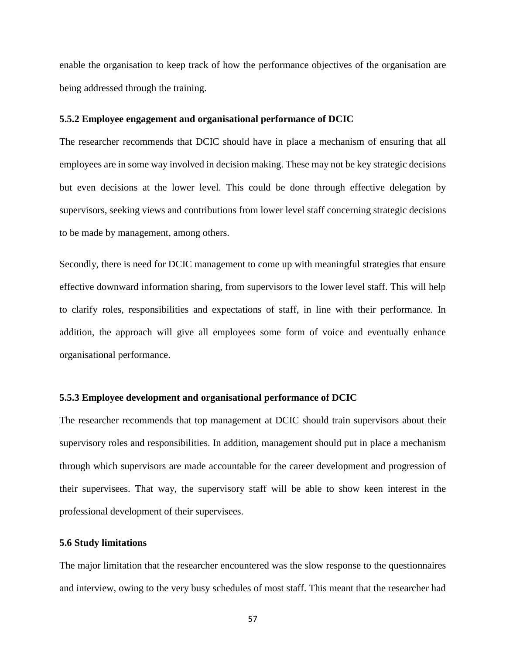enable the organisation to keep track of how the performance objectives of the organisation are being addressed through the training.

#### **5.5.2 Employee engagement and organisational performance of DCIC**

The researcher recommends that DCIC should have in place a mechanism of ensuring that all employees are in some way involved in decision making. These may not be key strategic decisions but even decisions at the lower level. This could be done through effective delegation by supervisors, seeking views and contributions from lower level staff concerning strategic decisions to be made by management, among others.

Secondly, there is need for DCIC management to come up with meaningful strategies that ensure effective downward information sharing, from supervisors to the lower level staff. This will help to clarify roles, responsibilities and expectations of staff, in line with their performance. In addition, the approach will give all employees some form of voice and eventually enhance organisational performance.

# **5.5.3 Employee development and organisational performance of DCIC**

The researcher recommends that top management at DCIC should train supervisors about their supervisory roles and responsibilities. In addition, management should put in place a mechanism through which supervisors are made accountable for the career development and progression of their supervisees. That way, the supervisory staff will be able to show keen interest in the professional development of their supervisees.

#### **5.6 Study limitations**

The major limitation that the researcher encountered was the slow response to the questionnaires and interview, owing to the very busy schedules of most staff. This meant that the researcher had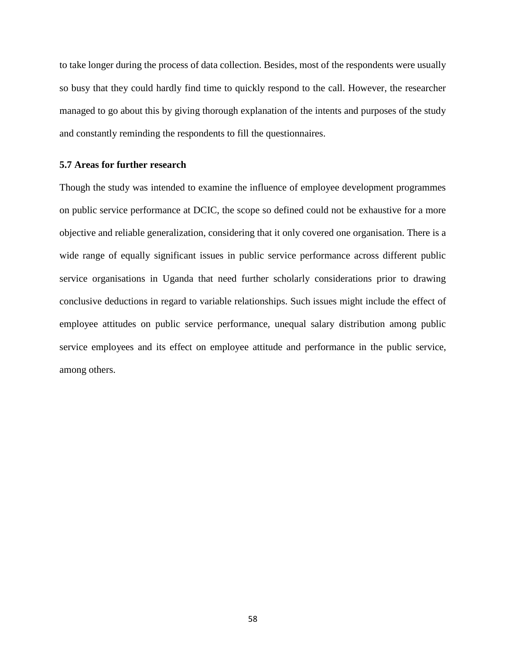to take longer during the process of data collection. Besides, most of the respondents were usually so busy that they could hardly find time to quickly respond to the call. However, the researcher managed to go about this by giving thorough explanation of the intents and purposes of the study and constantly reminding the respondents to fill the questionnaires.

# **5.7 Areas for further research**

Though the study was intended to examine the influence of employee development programmes on public service performance at DCIC, the scope so defined could not be exhaustive for a more objective and reliable generalization, considering that it only covered one organisation. There is a wide range of equally significant issues in public service performance across different public service organisations in Uganda that need further scholarly considerations prior to drawing conclusive deductions in regard to variable relationships. Such issues might include the effect of employee attitudes on public service performance, unequal salary distribution among public service employees and its effect on employee attitude and performance in the public service, among others.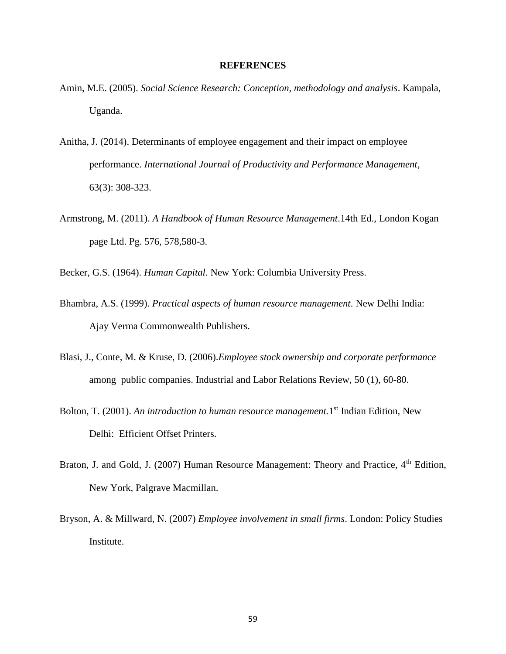#### **REFERENCES**

- Amin, M.E. (2005). *Social Science Research: Conception, methodology and analysis*. Kampala, Uganda.
- Anitha, J. (2014). Determinants of employee engagement and their impact on employee performance. *International Journal of Productivity and Performance Management*, 63(3): 308-323.
- Armstrong, M. (2011). *A Handbook of Human Resource Management*.14th Ed., London Kogan page Ltd. Pg. 576, 578,580-3.
- Becker, G.S. (1964). *Human Capital*. New York: Columbia University Press.
- Bhambra, A.S. (1999). *Practical aspects of human resource management*. New Delhi India: Ajay Verma Commonwealth Publishers.
- Blasi, J., Conte, M. & Kruse, D. (2006).*Employee stock ownership and corporate performance* among public companies. Industrial and Labor Relations Review, 50 (1), 60-80.
- Bolton, T. (2001). An introduction to human resource management. 1<sup>st</sup> Indian Edition, New Delhi: Efficient Offset Printers.
- Braton, J. and Gold, J. (2007) Human Resource Management: Theory and Practice, 4<sup>th</sup> Edition, New York, Palgrave Macmillan.
- Bryson, A. & Millward, N. (2007) *Employee involvement in small firms*. London: Policy Studies Institute.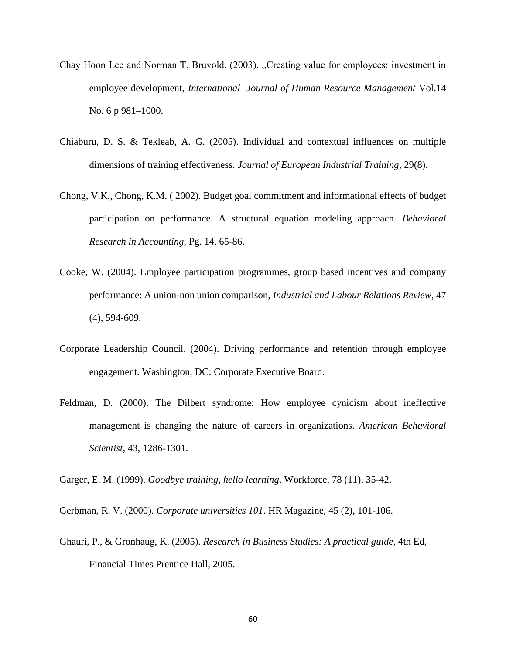- Chay Hoon Lee and Norman T. Bruvold, (2003). "Creating value for employees: investment in employee development, *International Journal of Human Resource Management* Vol.14 No. 6 p 981–1000.
- Chiaburu, D. S. & Tekleab, A. G. (2005). Individual and contextual influences on multiple dimensions of training effectiveness. *Journal of European Industrial Training*, 29(8).
- Chong, V.K., Chong, K.M. ( 2002). Budget goal commitment and informational effects of budget participation on performance. A structural equation modeling approach. *Behavioral Research in Accounting*, Pg. 14, 65-86.
- Cooke, W. (2004). Employee participation programmes, group based incentives and company performance: A union-non union comparison, *Industrial and Labour Relations Review*, 47 (4), 594-609.
- Corporate Leadership Council. (2004). Driving performance and retention through employee engagement. Washington, DC: Corporate Executive Board.
- Feldman, D. (2000). The Dilbert syndrome: How employee cynicism about ineffective management is changing the nature of careers in organizations. *American Behavioral Scientist*, 43, 1286-1301.

Garger, E. M. (1999). *Goodbye training, hello learning*. Workforce, 78 (11), 35-42.

Gerbman, R. V. (2000). *Corporate universities 101*. HR Magazine, 45 (2), 101-106.

Ghauri, P., & Gronhaug, K. (2005). *Research in Business Studies: A practical guide*, 4th Ed, Financial Times Prentice Hall, 2005.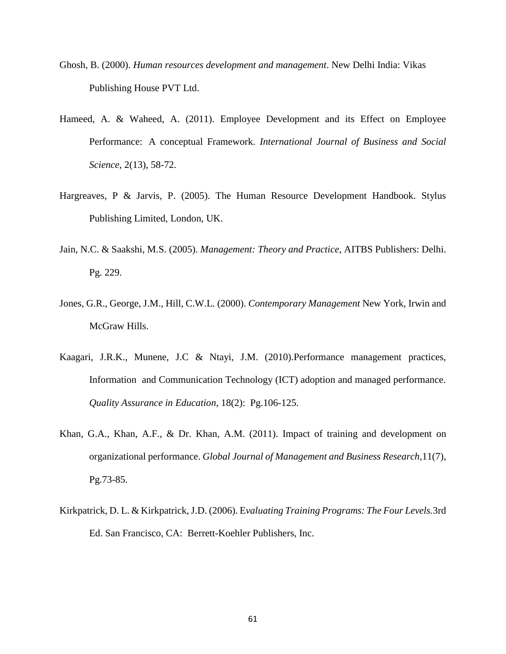- Ghosh, B. (2000). *Human resources development and management*. New Delhi India: Vikas Publishing House PVT Ltd.
- Hameed, A. & Waheed, A. (2011). Employee Development and its Effect on Employee Performance: A conceptual Framework. *International Journal of Business and Social Science*, 2(13), 58-72.
- Hargreaves, P & Jarvis, P. (2005). The Human Resource Development Handbook. Stylus Publishing Limited, London, UK.
- Jain, N.C. & Saakshi, M.S. (2005). *Management: Theory and Practice*, AITBS Publishers: Delhi. Pg. 229.
- Jones, G.R., George, J.M., Hill, C.W.L. (2000). *Contemporary Management* New York, Irwin and McGraw Hills.
- Kaagari, J.R.K., Munene, J.C & Ntayi, J.M. (2010).Performance management practices, Information and Communication Technology (ICT) adoption and managed performance. *Quality Assurance in Education*, 18(2): Pg.106-125.
- Khan, G.A., Khan, A.F., & Dr. Khan, A.M. (2011). Impact of training and development on organizational performance. *Global Journal of Management and Business Research,*11(7), Pg.73-85.
- Kirkpatrick, D. L. & Kirkpatrick, J.D. (2006). E*valuating Training Programs: The Four Levels.*3rd Ed. San Francisco, CA: Berrett-Koehler Publishers, Inc.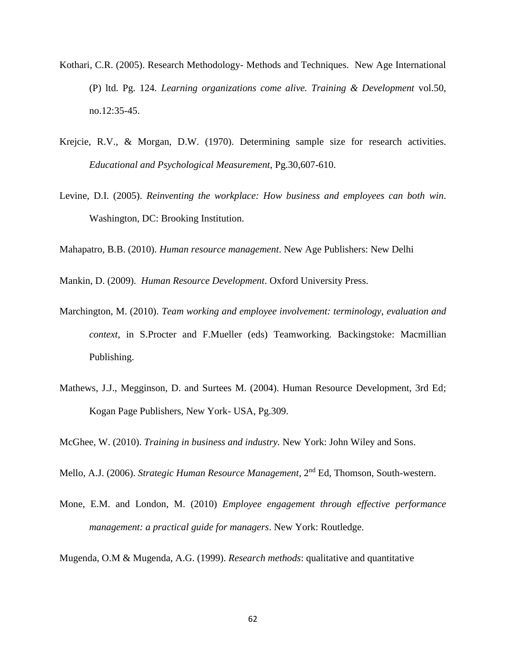- Kothari, C.R. (2005). Research Methodology- Methods and Techniques. New Age International (P) ltd. Pg. 124. *Learning organizations come alive. Training & Development* vol.50, no.12:35-45.
- Krejcie, R.V., & Morgan, D.W. (1970). Determining sample size for research activities. *Educational and Psychological Measurement*, Pg.30,607-610.
- Levine, D.I. (2005). *Reinventing the workplace: How business and employees can both win*. Washington, DC: Brooking Institution.

Mahapatro, B.B. (2010). *Human resource management*. New Age Publishers: New Delhi

Mankin, D. (2009). *Human Resource Development*. Oxford University Press.

- Marchington, M. (2010). *Team working and employee involvement: terminology, evaluation and context*, in S.Procter and F.Mueller (eds) Teamworking. Backingstoke: Macmillian Publishing.
- Mathews, J.J., Megginson, D. and Surtees M. (2004). Human Resource Development, 3rd Ed; Kogan Page Publishers, New York- USA, Pg.309.

McGhee, W. (2010). *Training in business and industry.* New York: John Wiley and Sons.

- Mello, A.J. (2006). *Strategic Human Resource Management*, 2nd Ed, Thomson, South-western.
- Mone, E.M. and London, M. (2010) *Employee engagement through effective performance management: a practical guide for managers*. New York: Routledge.

Mugenda, O.M & Mugenda, A.G. (1999). *Research methods*: qualitative and quantitative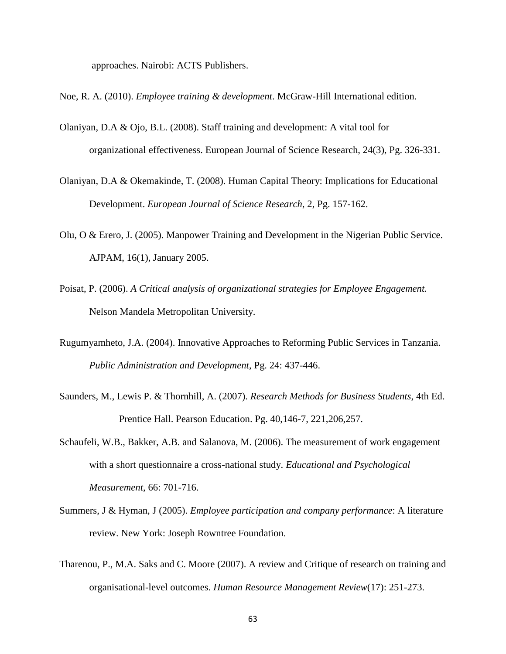approaches. Nairobi: ACTS Publishers.

- Noe, R. A. (2010). *Employee training & development*. McGraw-Hill International edition.
- Olaniyan, D.A & Ojo, B.L. (2008). Staff training and development: A vital tool for organizational effectiveness. European Journal of Science Research, 24(3), Pg. 326-331.
- Olaniyan, D.A & Okemakinde, T. (2008). Human Capital Theory: Implications for Educational Development. *European Journal of Science Research*, 2, Pg. 157-162.
- Olu, O & Erero, J. (2005). Manpower Training and Development in the Nigerian Public Service. AJPAM, 16(1), January 2005.
- Poisat, P. (2006). *A Critical analysis of organizational strategies for Employee Engagement.*  Nelson Mandela Metropolitan University.
- Rugumyamheto, J.A. (2004). Innovative Approaches to Reforming Public Services in Tanzania. *Public Administration and Development*, Pg. 24: 437-446.
- Saunders, M., Lewis P. & Thornhill, A. (2007). *Research Methods for Business Students*, 4th Ed. Prentice Hall. Pearson Education. Pg. 40,146-7, 221,206,257.
- Schaufeli, W.B., Bakker, A.B. and Salanova, M. (2006). The measurement of work engagement with a short questionnaire a cross-national study. *Educational and Psychological Measurement*, 66: 701-716.
- Summers, J & Hyman, J (2005). *Employee participation and company performance*: A literature review. New York: Joseph Rowntree Foundation.
- Tharenou, P., M.A. Saks and C. Moore (2007). A review and Critique of research on training and organisational-level outcomes. *Human Resource Management Review*(17): 251-273.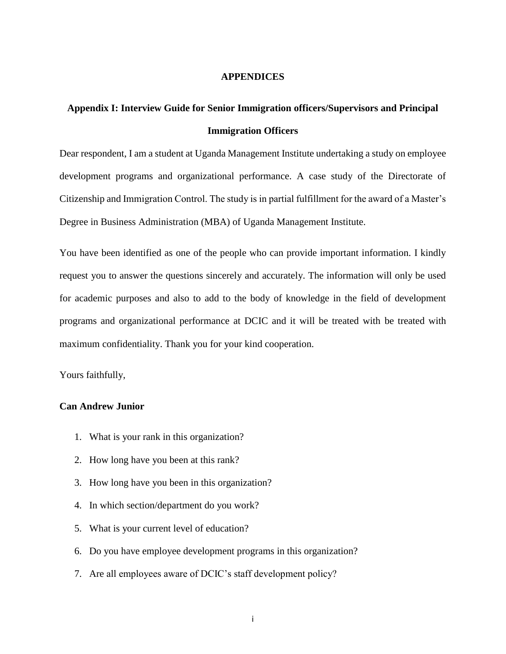#### **APPENDICES**

## **Appendix I: Interview Guide for Senior Immigration officers/Supervisors and Principal Immigration Officers**

Dear respondent, I am a student at Uganda Management Institute undertaking a study on employee development programs and organizational performance. A case study of the Directorate of Citizenship and Immigration Control. The study is in partial fulfillment for the award of a Master's Degree in Business Administration (MBA) of Uganda Management Institute.

You have been identified as one of the people who can provide important information. I kindly request you to answer the questions sincerely and accurately. The information will only be used for academic purposes and also to add to the body of knowledge in the field of development programs and organizational performance at DCIC and it will be treated with be treated with maximum confidentiality. Thank you for your kind cooperation.

Yours faithfully,

## **Can Andrew Junior**

- 1. What is your rank in this organization?
- 2. How long have you been at this rank?
- 3. How long have you been in this organization?
- 4. In which section/department do you work?
- 5. What is your current level of education?
- 6. Do you have employee development programs in this organization?
- 7. Are all employees aware of DCIC's staff development policy?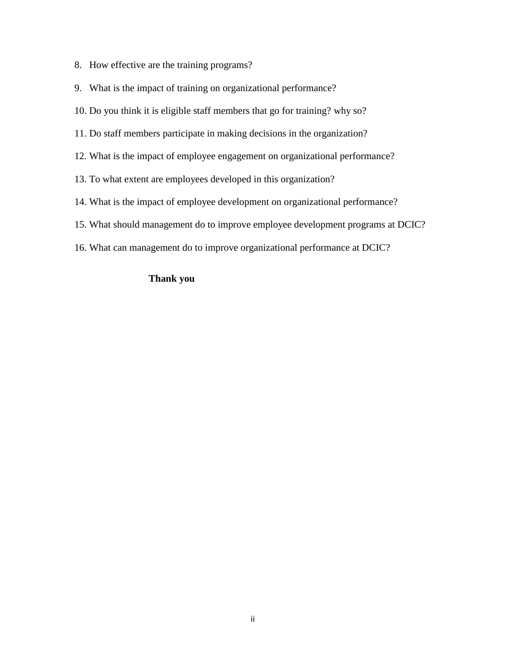- 8. How effective are the training programs?
- 9. What is the impact of training on organizational performance?
- 10. Do you think it is eligible staff members that go for training? why so?
- 11. Do staff members participate in making decisions in the organization?
- 12. What is the impact of employee engagement on organizational performance?
- 13. To what extent are employees developed in this organization?
- 14. What is the impact of employee development on organizational performance?
- 15. What should management do to improve employee development programs at DCIC?
- 16. What can management do to improve organizational performance at DCIC?

## **Thank you**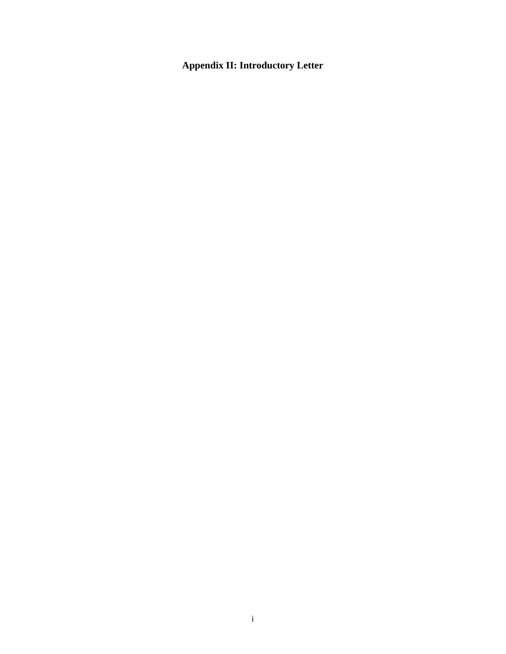**Appendix II: Introductory Letter**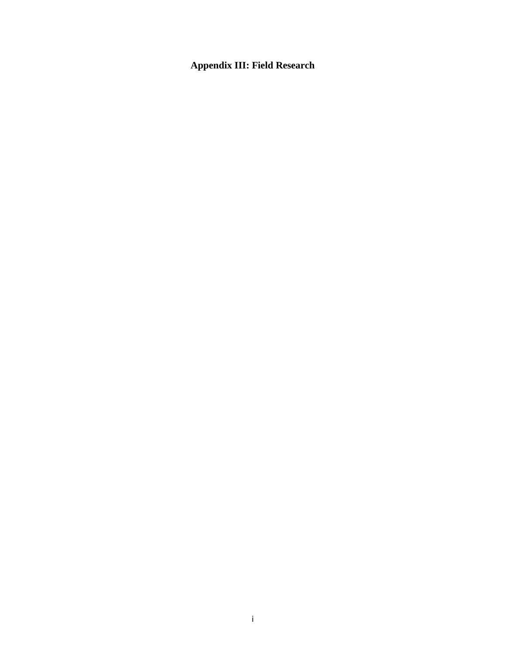# **Appendix III: Field Research**